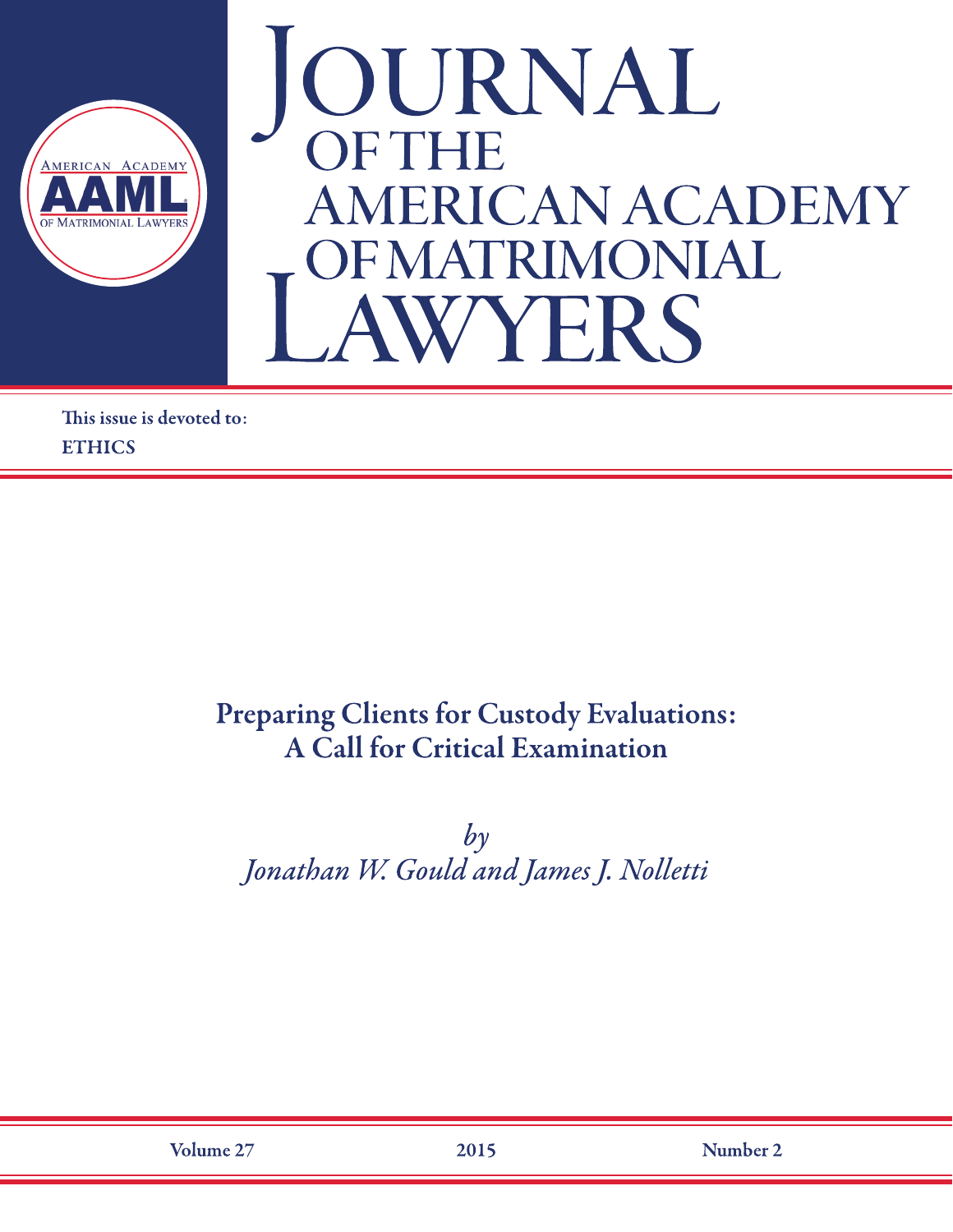

# OURNAL **OF THE AMERICAN ACADEMY** OFMATRIMONIAL AWYFRS

This issue is devoted to: **ETHICS** 

# **Preparing Clients for Custody Evaluations: A Call for Critical Examination**

 $b\gamma$ Jonathan W. Gould and James J. Nolletti

Volume 27

Number 2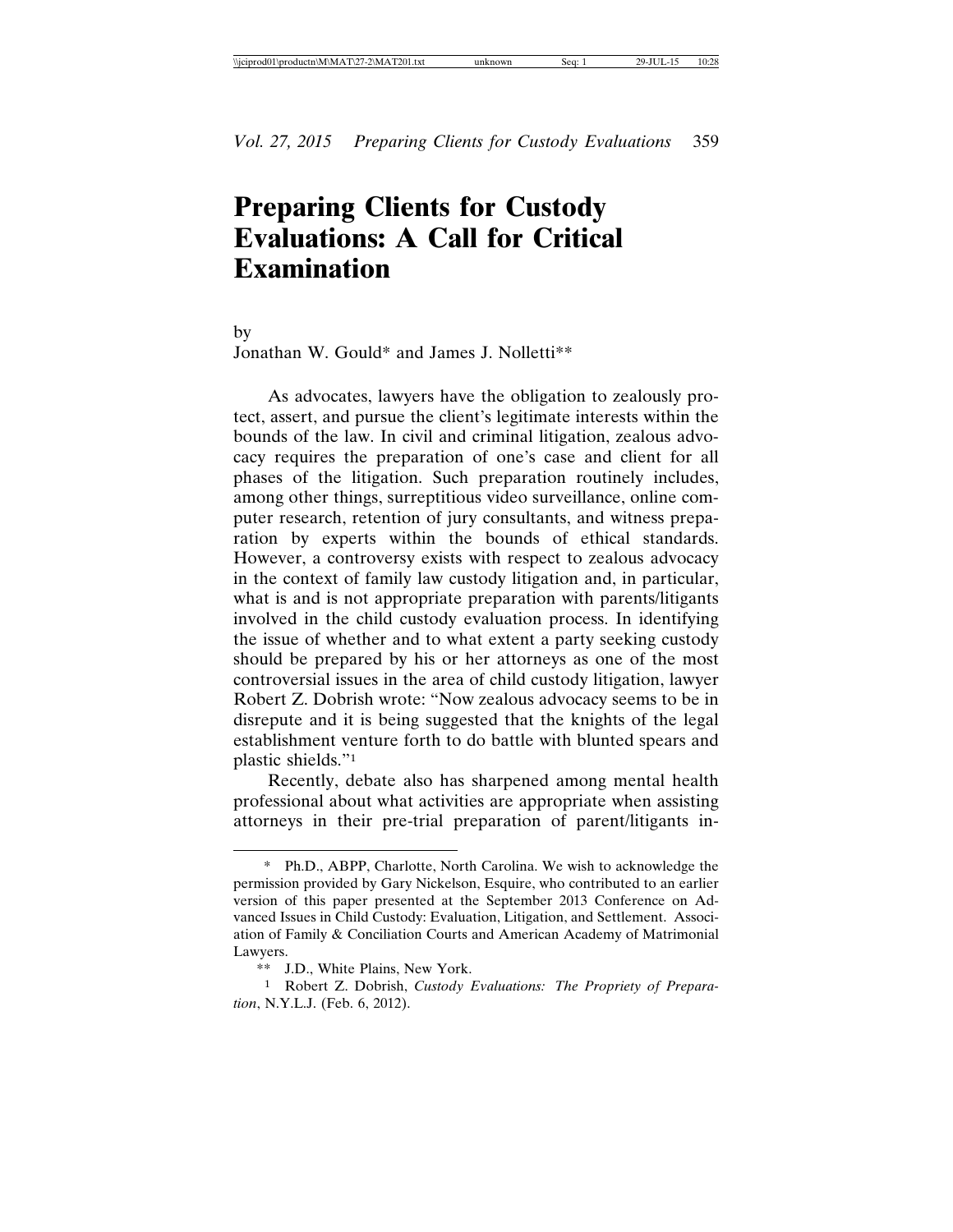# **Preparing Clients for Custody Evaluations: A Call for Critical Examination**

by

Jonathan W. Gould\* and James J. Nolletti\*\*

As advocates, lawyers have the obligation to zealously protect, assert, and pursue the client's legitimate interests within the bounds of the law. In civil and criminal litigation, zealous advocacy requires the preparation of one's case and client for all phases of the litigation. Such preparation routinely includes, among other things, surreptitious video surveillance, online computer research, retention of jury consultants, and witness preparation by experts within the bounds of ethical standards. However, a controversy exists with respect to zealous advocacy in the context of family law custody litigation and, in particular, what is and is not appropriate preparation with parents/litigants involved in the child custody evaluation process. In identifying the issue of whether and to what extent a party seeking custody should be prepared by his or her attorneys as one of the most controversial issues in the area of child custody litigation, lawyer Robert Z. Dobrish wrote: "Now zealous advocacy seems to be in disrepute and it is being suggested that the knights of the legal establishment venture forth to do battle with blunted spears and plastic shields."1

Recently, debate also has sharpened among mental health professional about what activities are appropriate when assisting attorneys in their pre-trial preparation of parent/litigants in-

<sup>\*</sup> Ph.D., ABPP, Charlotte, North Carolina. We wish to acknowledge the permission provided by Gary Nickelson, Esquire, who contributed to an earlier version of this paper presented at the September 2013 Conference on Advanced Issues in Child Custody: Evaluation, Litigation, and Settlement. Association of Family & Conciliation Courts and American Academy of Matrimonial Lawyers.

<sup>\*\*</sup> J.D., White Plains, New York.

<sup>1</sup> Robert Z. Dobrish, *Custody Evaluations: The Propriety of Preparation*, N.Y.L.J. (Feb. 6, 2012).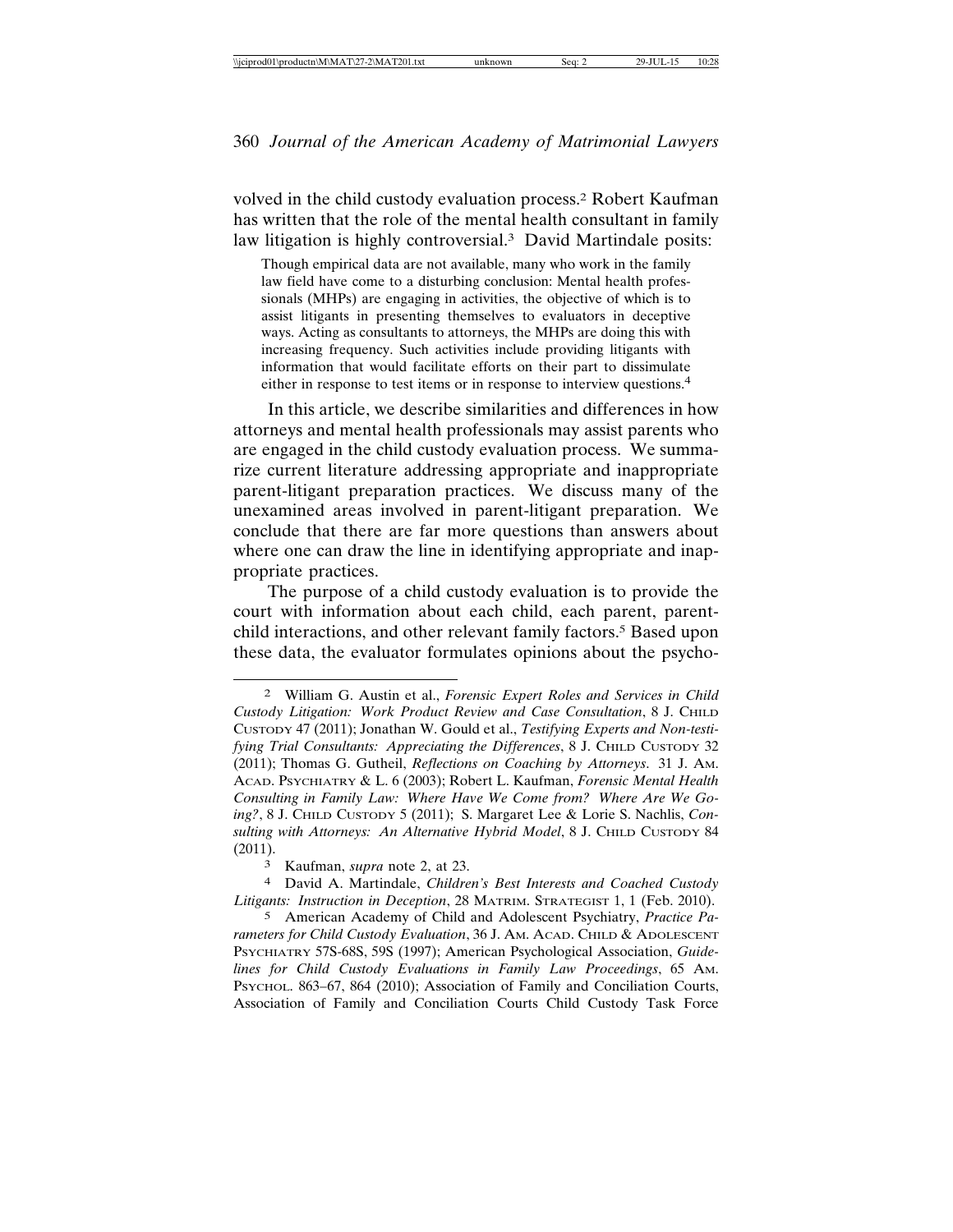volved in the child custody evaluation process.2 Robert Kaufman has written that the role of the mental health consultant in family law litigation is highly controversial.<sup>3</sup> David Martindale posits:

Though empirical data are not available, many who work in the family law field have come to a disturbing conclusion: Mental health professionals (MHPs) are engaging in activities, the objective of which is to assist litigants in presenting themselves to evaluators in deceptive ways. Acting as consultants to attorneys, the MHPs are doing this with increasing frequency. Such activities include providing litigants with information that would facilitate efforts on their part to dissimulate either in response to test items or in response to interview questions.4

In this article, we describe similarities and differences in how attorneys and mental health professionals may assist parents who are engaged in the child custody evaluation process. We summarize current literature addressing appropriate and inappropriate parent-litigant preparation practices. We discuss many of the unexamined areas involved in parent-litigant preparation. We conclude that there are far more questions than answers about where one can draw the line in identifying appropriate and inappropriate practices.

The purpose of a child custody evaluation is to provide the court with information about each child, each parent, parentchild interactions, and other relevant family factors.<sup>5</sup> Based upon these data, the evaluator formulates opinions about the psycho-

<sup>2</sup> William G. Austin et al., *Forensic Expert Roles and Services in Child Custody Litigation: Work Product Review and Case Consultation*, 8 J. CHILD CUSTODY 47 (2011); Jonathan W. Gould et al., *Testifying Experts and Non-testifying Trial Consultants: Appreciating the Differences*, 8 J. CHILD CUSTODY 32 (2011); Thomas G. Gutheil, *Reflections on Coaching by Attorneys*. 31 J. AM. ACAD. PSYCHIATRY & L. 6 (2003); Robert L. Kaufman, *Forensic Mental Health Consulting in Family Law: Where Have We Come from? Where Are We Going?*, 8 J. CHILD CUSTODY 5 (2011); S. Margaret Lee & Lorie S. Nachlis, *Consulting with Attorneys: An Alternative Hybrid Model*, 8 J. CHILD CUSTODY 84 (2011).

<sup>3</sup> Kaufman, *supra* note 2, at 23.

<sup>4</sup> David A. Martindale, *Children's Best Interests and Coached Custody Litigants: Instruction in Deception*, 28 MATRIM. STRATEGIST 1, 1 (Feb. 2010).

<sup>5</sup> American Academy of Child and Adolescent Psychiatry, *Practice Parameters for Child Custody Evaluation*, 36 J. AM. ACAD. CHILD & ADOLESCENT PSYCHIATRY 57S-68S, 59S (1997); American Psychological Association, *Guidelines for Child Custody Evaluations in Family Law Proceedings*, 65 AM. PSYCHOL. 863–67, 864 (2010); Association of Family and Conciliation Courts, Association of Family and Conciliation Courts Child Custody Task Force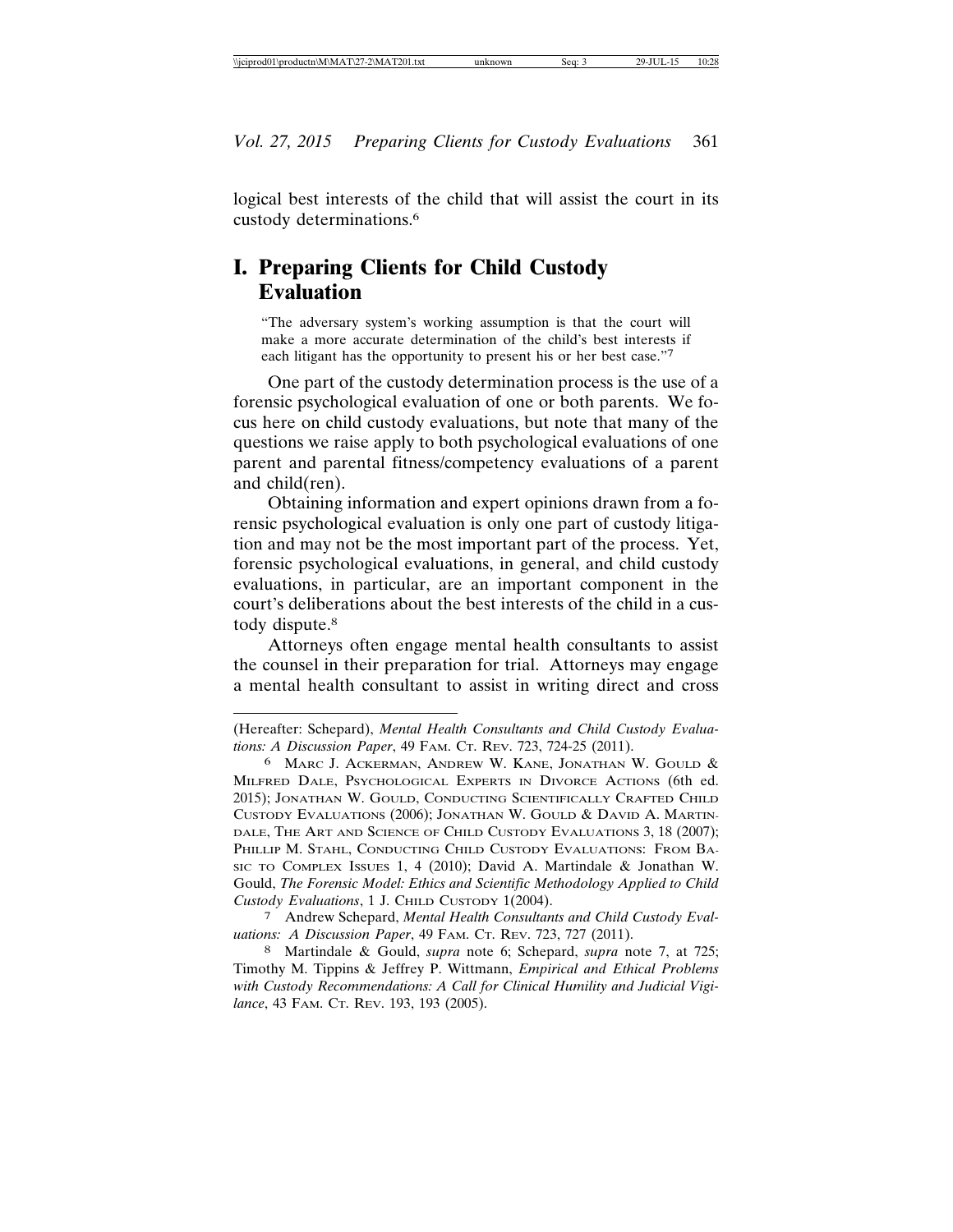logical best interests of the child that will assist the court in its custody determinations.6

## **I. Preparing Clients for Child Custody Evaluation**

"The adversary system's working assumption is that the court will make a more accurate determination of the child's best interests if each litigant has the opportunity to present his or her best case."7

One part of the custody determination process is the use of a forensic psychological evaluation of one or both parents. We focus here on child custody evaluations, but note that many of the questions we raise apply to both psychological evaluations of one parent and parental fitness/competency evaluations of a parent and child(ren).

Obtaining information and expert opinions drawn from a forensic psychological evaluation is only one part of custody litigation and may not be the most important part of the process. Yet, forensic psychological evaluations, in general, and child custody evaluations, in particular, are an important component in the court's deliberations about the best interests of the child in a custody dispute.8

Attorneys often engage mental health consultants to assist the counsel in their preparation for trial. Attorneys may engage a mental health consultant to assist in writing direct and cross

<sup>(</sup>Hereafter: Schepard), *Mental Health Consultants and Child Custody Evaluations: A Discussion Paper*, 49 FAM. CT. REV. 723, 724-25 (2011).

<sup>6</sup> MARC J. ACKERMAN, ANDREW W. KANE, JONATHAN W. GOULD & MILFRED DALE, PSYCHOLOGICAL EXPERTS IN DIVORCE ACTIONS (6th ed. 2015); JONATHAN W. GOULD, CONDUCTING SCIENTIFICALLY CRAFTED CHILD CUSTODY EVALUATIONS (2006); JONATHAN W. GOULD & DAVID A. MARTIN-DALE, THE ART AND SCIENCE OF CHILD CUSTODY EVALUATIONS 3, 18 (2007); PHILLIP M. STAHL, CONDUCTING CHILD CUSTODY EVALUATIONS: FROM BA-SIC TO COMPLEX ISSUES 1, 4 (2010); David A. Martindale & Jonathan W. Gould, *The Forensic Model: Ethics and Scientific Methodology Applied to Child Custody Evaluations*, 1 J. CHILD CUSTODY 1(2004).

<sup>7</sup> Andrew Schepard, *Mental Health Consultants and Child Custody Evaluations: A Discussion Paper*, 49 FAM. CT. REV. 723, 727 (2011).

<sup>8</sup> Martindale & Gould, *supra* note 6; Schepard, *supra* note 7, at 725; Timothy M. Tippins & Jeffrey P. Wittmann, *Empirical and Ethical Problems with Custody Recommendations: A Call for Clinical Humility and Judicial Vigilance*, 43 FAM. CT. REV. 193, 193 (2005).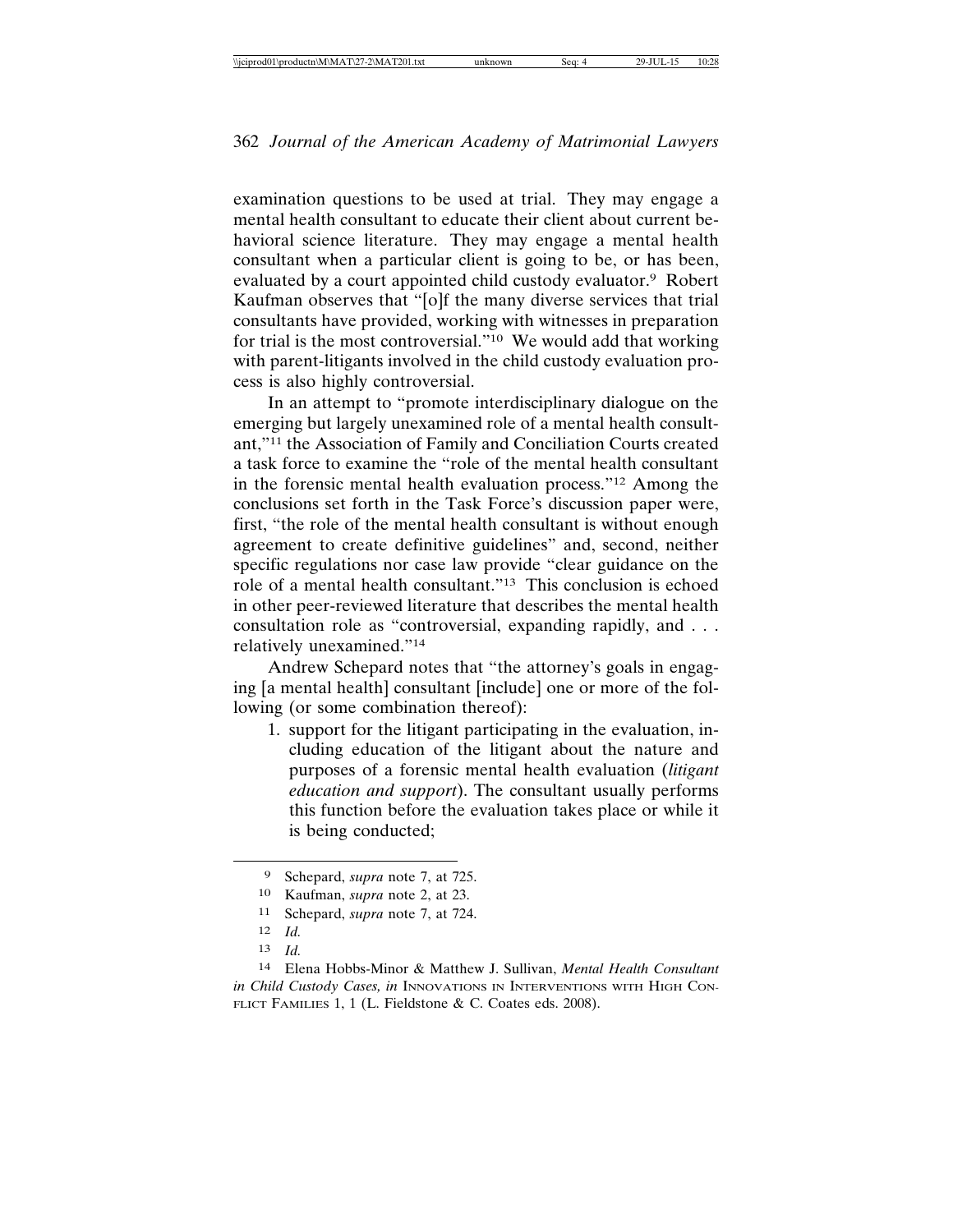examination questions to be used at trial. They may engage a mental health consultant to educate their client about current behavioral science literature. They may engage a mental health consultant when a particular client is going to be, or has been, evaluated by a court appointed child custody evaluator.9 Robert Kaufman observes that "[o]f the many diverse services that trial consultants have provided, working with witnesses in preparation for trial is the most controversial."10 We would add that working with parent-litigants involved in the child custody evaluation process is also highly controversial.

In an attempt to "promote interdisciplinary dialogue on the emerging but largely unexamined role of a mental health consultant,"11 the Association of Family and Conciliation Courts created a task force to examine the "role of the mental health consultant in the forensic mental health evaluation process."12 Among the conclusions set forth in the Task Force's discussion paper were, first, "the role of the mental health consultant is without enough agreement to create definitive guidelines" and, second, neither specific regulations nor case law provide "clear guidance on the role of a mental health consultant."13 This conclusion is echoed in other peer-reviewed literature that describes the mental health consultation role as "controversial, expanding rapidly, and . . . relatively unexamined."14

Andrew Schepard notes that "the attorney's goals in engaging [a mental health] consultant [include] one or more of the following (or some combination thereof):

1. support for the litigant participating in the evaluation, including education of the litigant about the nature and purposes of a forensic mental health evaluation (*litigant education and support*). The consultant usually performs this function before the evaluation takes place or while it is being conducted;

<sup>9</sup> Schepard, *supra* note 7, at 725.

<sup>10</sup> Kaufman, *supra* note 2, at 23.

<sup>11</sup> Schepard, *supra* note 7, at 724.

<sup>12</sup> *Id.*

<sup>13</sup> *Id.*

<sup>14</sup> Elena Hobbs-Minor & Matthew J. Sullivan, *Mental Health Consultant in Child Custody Cases, in* INNOVATIONS IN INTERVENTIONS WITH HIGH CON-FLICT FAMILIES 1, 1 (L. Fieldstone & C. Coates eds. 2008).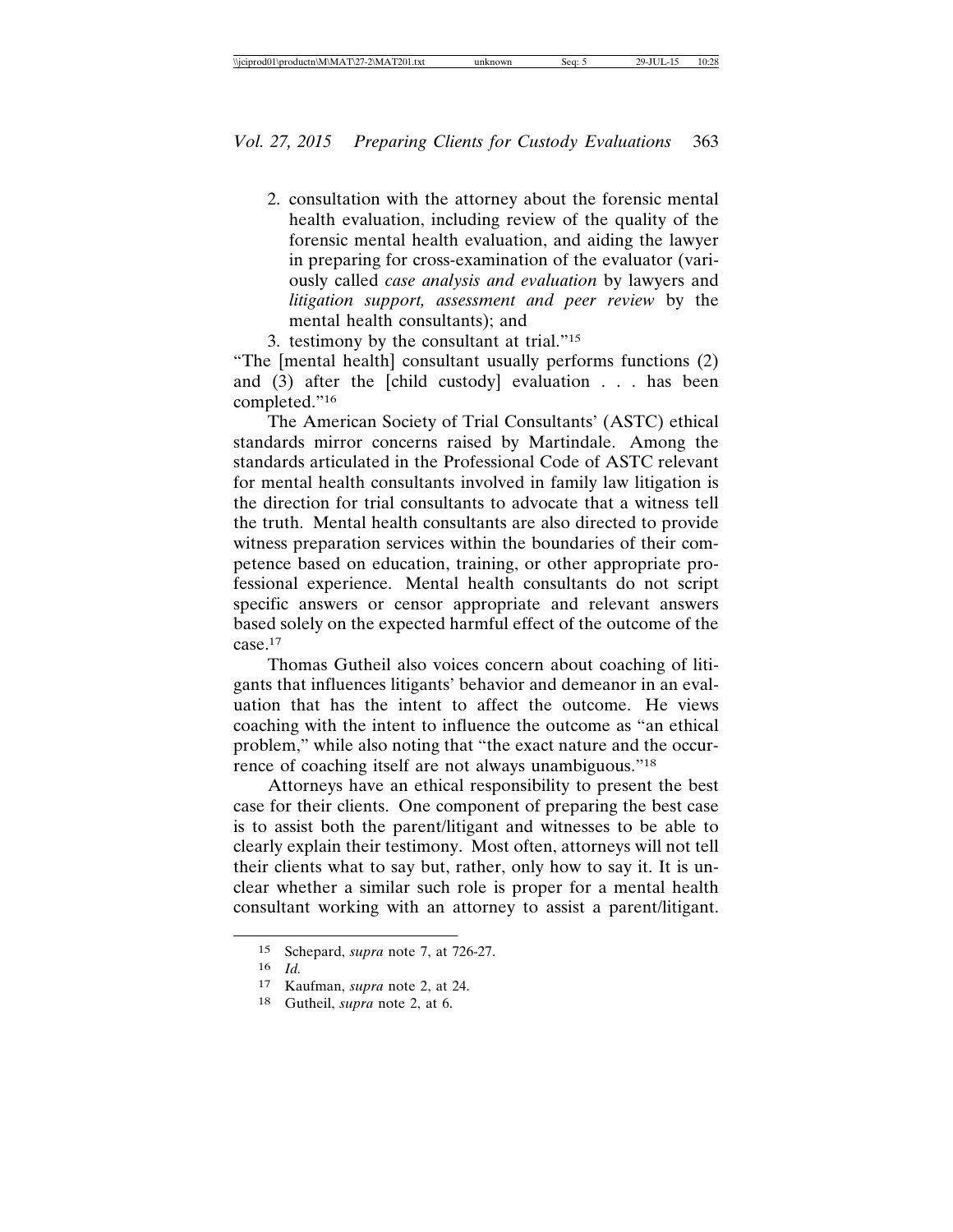- 2. consultation with the attorney about the forensic mental health evaluation, including review of the quality of the forensic mental health evaluation, and aiding the lawyer in preparing for cross-examination of the evaluator (variously called *case analysis and evaluation* by lawyers and *litigation support, assessment and peer review* by the mental health consultants); and
- 3. testimony by the consultant at trial."15

"The [mental health] consultant usually performs functions (2) and (3) after the [child custody] evaluation . . . has been completed."16

The American Society of Trial Consultants' (ASTC) ethical standards mirror concerns raised by Martindale. Among the standards articulated in the Professional Code of ASTC relevant for mental health consultants involved in family law litigation is the direction for trial consultants to advocate that a witness tell the truth. Mental health consultants are also directed to provide witness preparation services within the boundaries of their competence based on education, training, or other appropriate professional experience. Mental health consultants do not script specific answers or censor appropriate and relevant answers based solely on the expected harmful effect of the outcome of the case.17

Thomas Gutheil also voices concern about coaching of litigants that influences litigants' behavior and demeanor in an evaluation that has the intent to affect the outcome. He views coaching with the intent to influence the outcome as "an ethical problem," while also noting that "the exact nature and the occurrence of coaching itself are not always unambiguous."18

Attorneys have an ethical responsibility to present the best case for their clients. One component of preparing the best case is to assist both the parent/litigant and witnesses to be able to clearly explain their testimony. Most often, attorneys will not tell their clients what to say but, rather, only how to say it. It is unclear whether a similar such role is proper for a mental health consultant working with an attorney to assist a parent/litigant.

<sup>15</sup> Schepard, *supra* note 7, at 726-27.

<sup>16</sup> *Id.*

<sup>17</sup> Kaufman, *supra* note 2, at 24.

<sup>18</sup> Gutheil, *supra* note 2, at 6.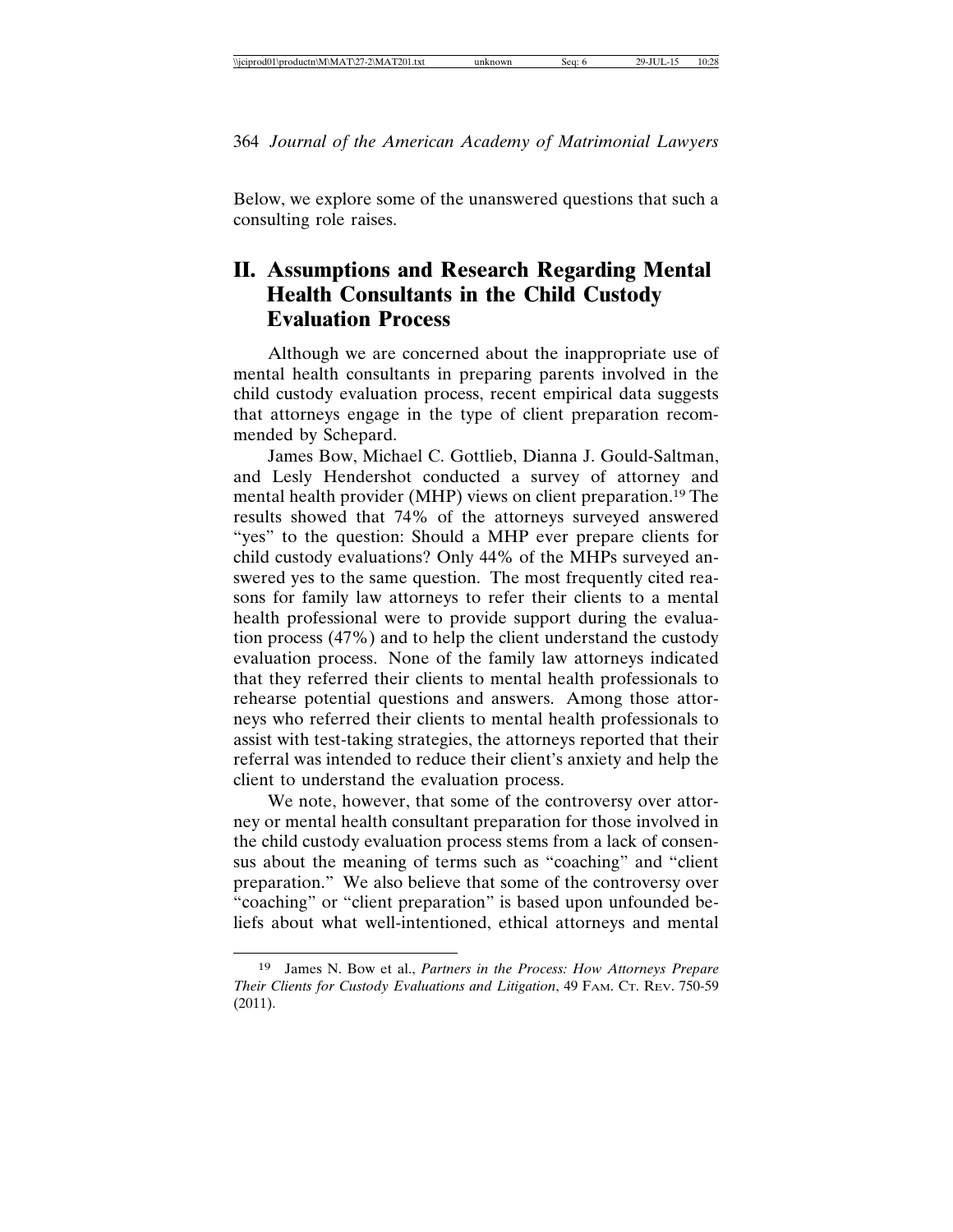| \\iciprod01\productn\M\MAT\27-2\MAT201.txt<br>10:28<br>29-JUL-15<br>Sea:<br>unknown |
|-------------------------------------------------------------------------------------|
|-------------------------------------------------------------------------------------|

Below, we explore some of the unanswered questions that such a consulting role raises.

# **II. Assumptions and Research Regarding Mental Health Consultants in the Child Custody Evaluation Process**

Although we are concerned about the inappropriate use of mental health consultants in preparing parents involved in the child custody evaluation process, recent empirical data suggests that attorneys engage in the type of client preparation recommended by Schepard.

James Bow, Michael C. Gottlieb, Dianna J. Gould-Saltman, and Lesly Hendershot conducted a survey of attorney and mental health provider (MHP) views on client preparation.<sup>19</sup> The results showed that 74% of the attorneys surveyed answered "yes" to the question: Should a MHP ever prepare clients for child custody evaluations? Only 44% of the MHPs surveyed answered yes to the same question. The most frequently cited reasons for family law attorneys to refer their clients to a mental health professional were to provide support during the evaluation process (47%) and to help the client understand the custody evaluation process. None of the family law attorneys indicated that they referred their clients to mental health professionals to rehearse potential questions and answers. Among those attorneys who referred their clients to mental health professionals to assist with test-taking strategies, the attorneys reported that their referral was intended to reduce their client's anxiety and help the client to understand the evaluation process.

We note, however, that some of the controversy over attorney or mental health consultant preparation for those involved in the child custody evaluation process stems from a lack of consensus about the meaning of terms such as "coaching" and "client preparation." We also believe that some of the controversy over "coaching" or "client preparation" is based upon unfounded beliefs about what well-intentioned, ethical attorneys and mental

<sup>19</sup> James N. Bow et al., *Partners in the Process: How Attorneys Prepare Their Clients for Custody Evaluations and Litigation*, 49 FAM. CT. REV. 750-59 (2011).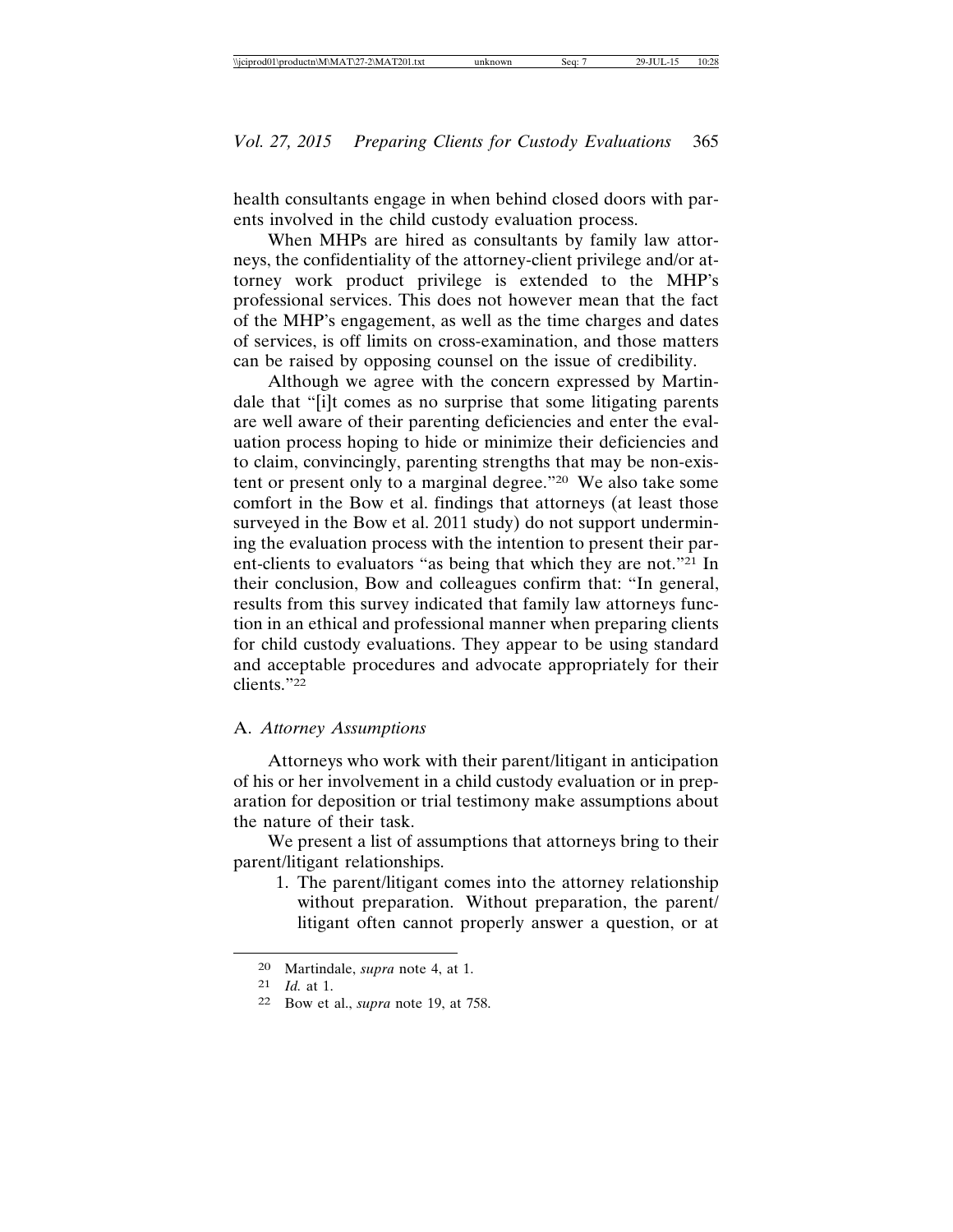health consultants engage in when behind closed doors with parents involved in the child custody evaluation process.

When MHPs are hired as consultants by family law attorneys, the confidentiality of the attorney-client privilege and/or attorney work product privilege is extended to the MHP's professional services. This does not however mean that the fact of the MHP's engagement, as well as the time charges and dates of services, is off limits on cross-examination, and those matters can be raised by opposing counsel on the issue of credibility.

Although we agree with the concern expressed by Martindale that "[i]t comes as no surprise that some litigating parents are well aware of their parenting deficiencies and enter the evaluation process hoping to hide or minimize their deficiencies and to claim, convincingly, parenting strengths that may be non-existent or present only to a marginal degree."20 We also take some comfort in the Bow et al. findings that attorneys (at least those surveyed in the Bow et al. 2011 study) do not support undermining the evaluation process with the intention to present their parent-clients to evaluators "as being that which they are not."21 In their conclusion, Bow and colleagues confirm that: "In general, results from this survey indicated that family law attorneys function in an ethical and professional manner when preparing clients for child custody evaluations. They appear to be using standard and acceptable procedures and advocate appropriately for their clients."22

#### A. *Attorney Assumptions*

Attorneys who work with their parent/litigant in anticipation of his or her involvement in a child custody evaluation or in preparation for deposition or trial testimony make assumptions about the nature of their task.

We present a list of assumptions that attorneys bring to their parent/litigant relationships.

1. The parent/litigant comes into the attorney relationship without preparation. Without preparation, the parent/ litigant often cannot properly answer a question, or at

<sup>20</sup> Martindale, *supra* note 4, at 1.

<sup>21</sup> *Id.* at 1.

<sup>22</sup> Bow et al., *supra* note 19, at 758.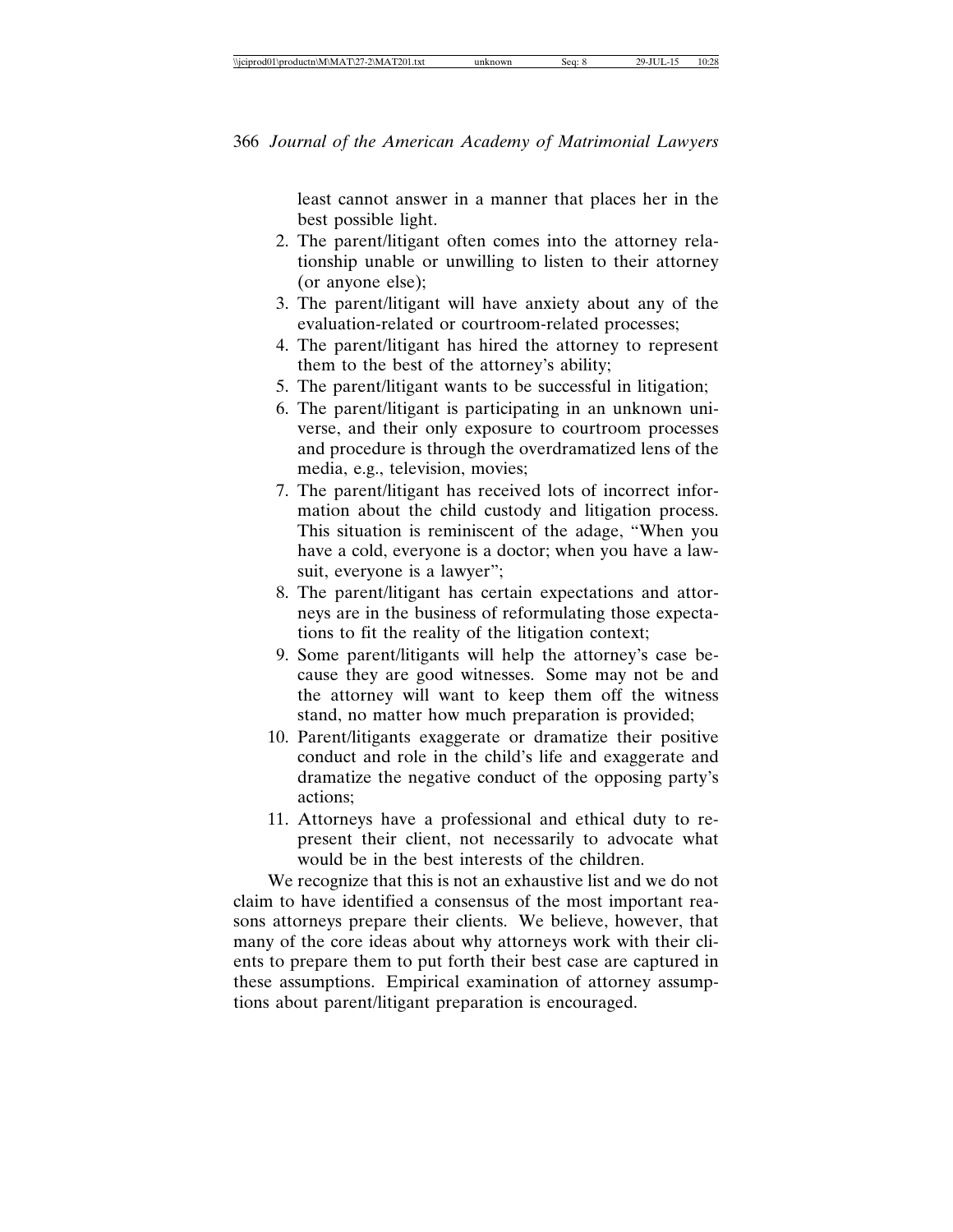least cannot answer in a manner that places her in the best possible light.

- 2. The parent/litigant often comes into the attorney relationship unable or unwilling to listen to their attorney (or anyone else);
- 3. The parent/litigant will have anxiety about any of the evaluation-related or courtroom-related processes;
- 4. The parent/litigant has hired the attorney to represent them to the best of the attorney's ability;
- 5. The parent/litigant wants to be successful in litigation;
- 6. The parent/litigant is participating in an unknown universe, and their only exposure to courtroom processes and procedure is through the overdramatized lens of the media, e.g., television, movies;
- 7. The parent/litigant has received lots of incorrect information about the child custody and litigation process. This situation is reminiscent of the adage, "When you have a cold, everyone is a doctor; when you have a lawsuit, everyone is a lawyer";
- 8. The parent/litigant has certain expectations and attorneys are in the business of reformulating those expectations to fit the reality of the litigation context;
- 9. Some parent/litigants will help the attorney's case because they are good witnesses. Some may not be and the attorney will want to keep them off the witness stand, no matter how much preparation is provided;
- 10. Parent/litigants exaggerate or dramatize their positive conduct and role in the child's life and exaggerate and dramatize the negative conduct of the opposing party's actions;
- 11. Attorneys have a professional and ethical duty to represent their client, not necessarily to advocate what would be in the best interests of the children.

We recognize that this is not an exhaustive list and we do not claim to have identified a consensus of the most important reasons attorneys prepare their clients. We believe, however, that many of the core ideas about why attorneys work with their clients to prepare them to put forth their best case are captured in these assumptions. Empirical examination of attorney assumptions about parent/litigant preparation is encouraged.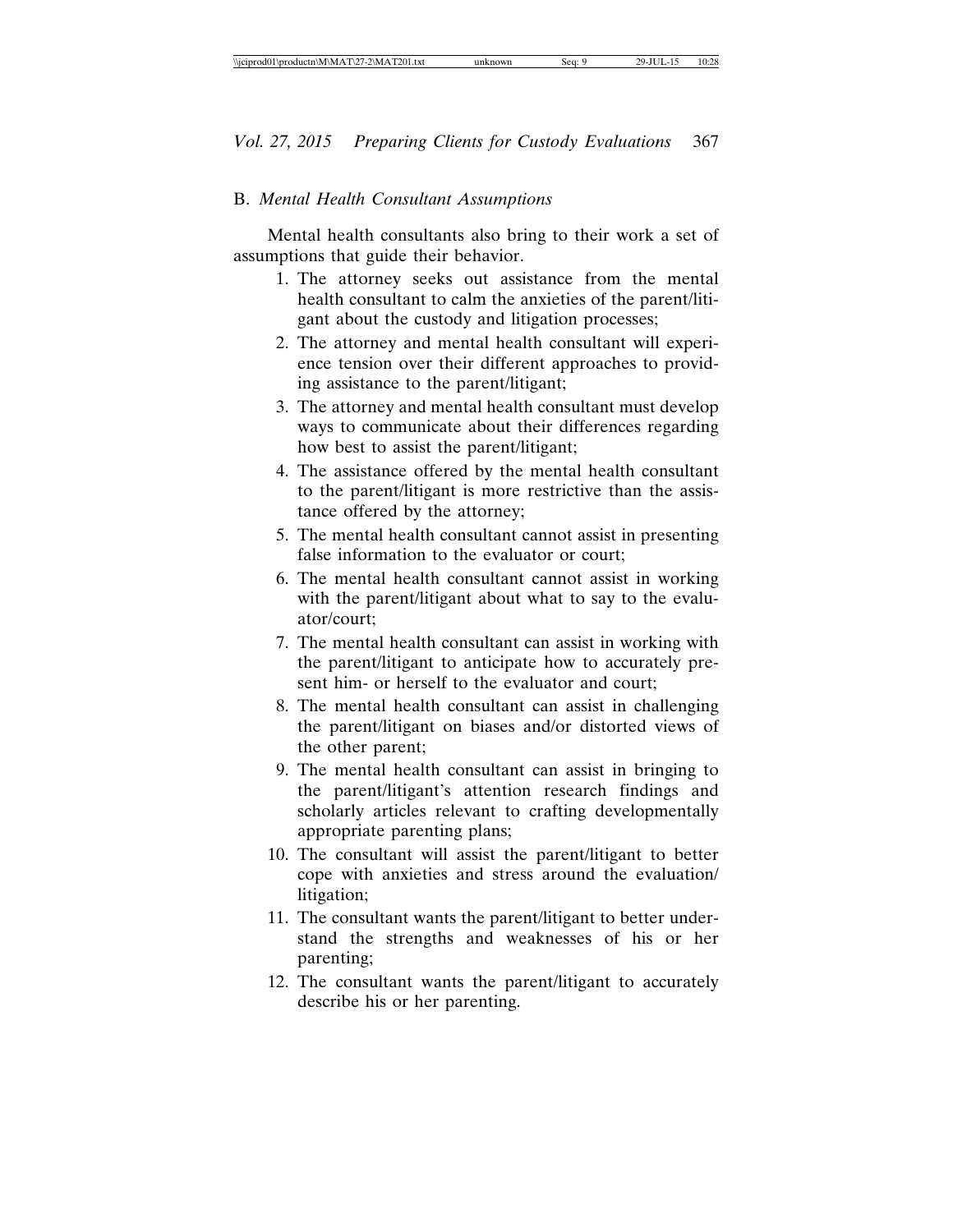#### B. *Mental Health Consultant Assumptions*

Mental health consultants also bring to their work a set of assumptions that guide their behavior.

- 1. The attorney seeks out assistance from the mental health consultant to calm the anxieties of the parent/litigant about the custody and litigation processes;
- 2. The attorney and mental health consultant will experience tension over their different approaches to providing assistance to the parent/litigant;
- 3. The attorney and mental health consultant must develop ways to communicate about their differences regarding how best to assist the parent/litigant;
- 4. The assistance offered by the mental health consultant to the parent/litigant is more restrictive than the assistance offered by the attorney;
- 5. The mental health consultant cannot assist in presenting false information to the evaluator or court;
- 6. The mental health consultant cannot assist in working with the parent/litigant about what to say to the evaluator/court;
- 7. The mental health consultant can assist in working with the parent/litigant to anticipate how to accurately present him- or herself to the evaluator and court;
- 8. The mental health consultant can assist in challenging the parent/litigant on biases and/or distorted views of the other parent;
- 9. The mental health consultant can assist in bringing to the parent/litigant's attention research findings and scholarly articles relevant to crafting developmentally appropriate parenting plans;
- 10. The consultant will assist the parent/litigant to better cope with anxieties and stress around the evaluation/ litigation;
- 11. The consultant wants the parent/litigant to better understand the strengths and weaknesses of his or her parenting;
- 12. The consultant wants the parent/litigant to accurately describe his or her parenting.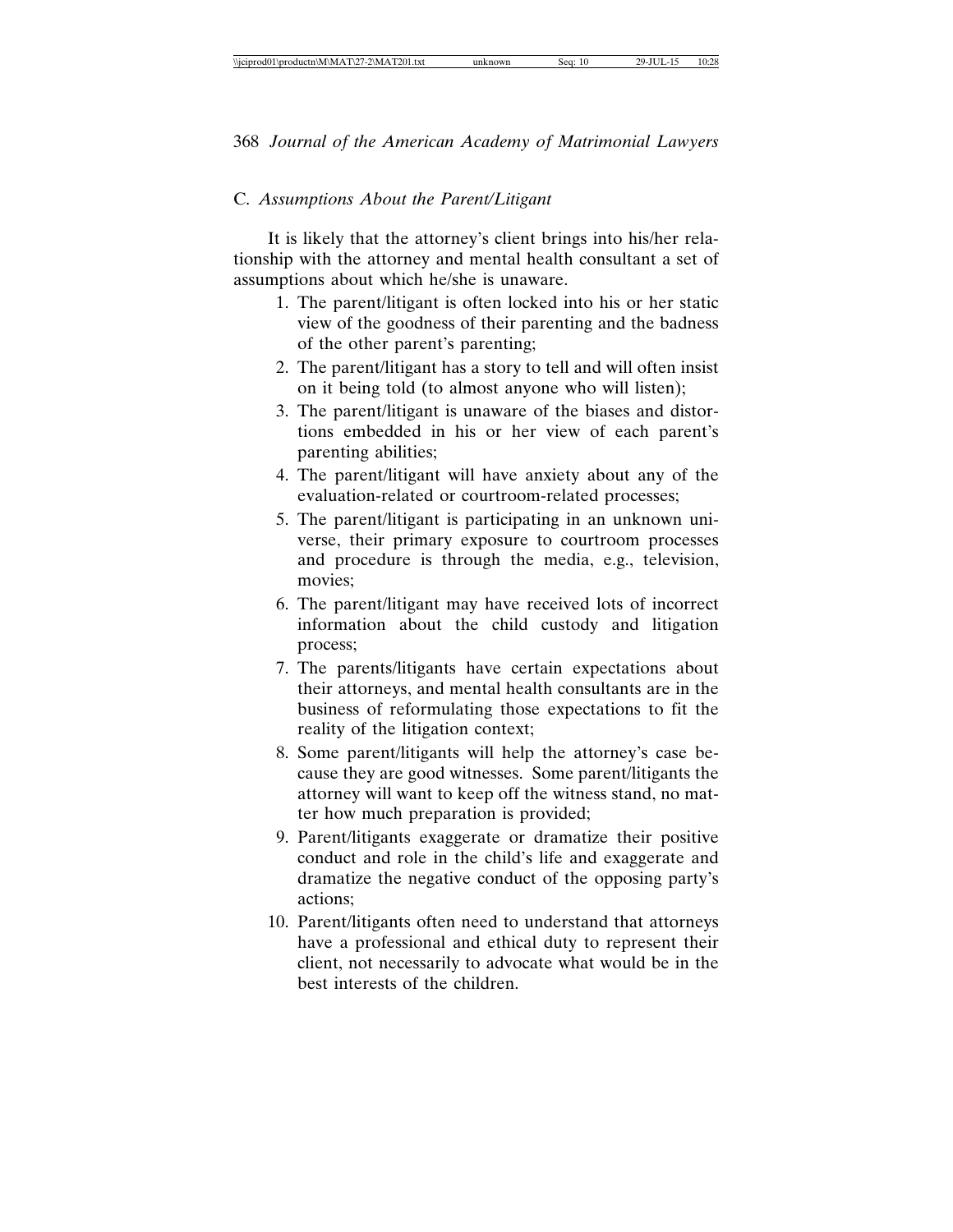#### C. *Assumptions About the Parent/Litigant*

It is likely that the attorney's client brings into his/her relationship with the attorney and mental health consultant a set of assumptions about which he/she is unaware.

- 1. The parent/litigant is often locked into his or her static view of the goodness of their parenting and the badness of the other parent's parenting;
- 2. The parent/litigant has a story to tell and will often insist on it being told (to almost anyone who will listen);
- 3. The parent/litigant is unaware of the biases and distortions embedded in his or her view of each parent's parenting abilities;
- 4. The parent/litigant will have anxiety about any of the evaluation-related or courtroom-related processes;
- 5. The parent/litigant is participating in an unknown universe, their primary exposure to courtroom processes and procedure is through the media, e.g., television, movies;
- 6. The parent/litigant may have received lots of incorrect information about the child custody and litigation process;
- 7. The parents/litigants have certain expectations about their attorneys, and mental health consultants are in the business of reformulating those expectations to fit the reality of the litigation context;
- 8. Some parent/litigants will help the attorney's case because they are good witnesses. Some parent/litigants the attorney will want to keep off the witness stand, no matter how much preparation is provided;
- 9. Parent/litigants exaggerate or dramatize their positive conduct and role in the child's life and exaggerate and dramatize the negative conduct of the opposing party's actions;
- 10. Parent/litigants often need to understand that attorneys have a professional and ethical duty to represent their client, not necessarily to advocate what would be in the best interests of the children.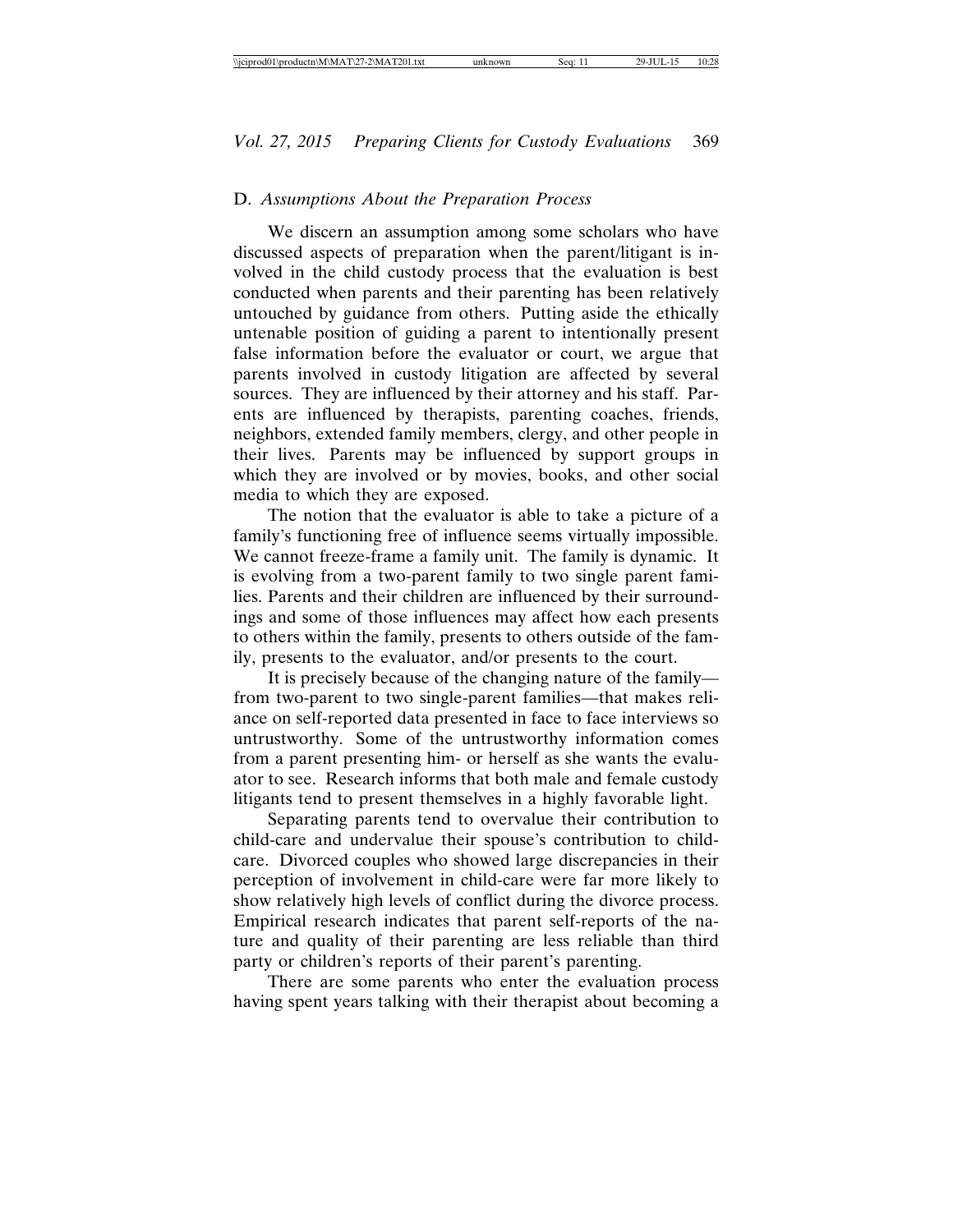#### D. *Assumptions About the Preparation Process*

We discern an assumption among some scholars who have discussed aspects of preparation when the parent/litigant is involved in the child custody process that the evaluation is best conducted when parents and their parenting has been relatively untouched by guidance from others. Putting aside the ethically untenable position of guiding a parent to intentionally present false information before the evaluator or court, we argue that parents involved in custody litigation are affected by several sources. They are influenced by their attorney and his staff. Parents are influenced by therapists, parenting coaches, friends, neighbors, extended family members, clergy, and other people in their lives. Parents may be influenced by support groups in which they are involved or by movies, books, and other social media to which they are exposed.

The notion that the evaluator is able to take a picture of a family's functioning free of influence seems virtually impossible. We cannot freeze-frame a family unit. The family is dynamic. It is evolving from a two-parent family to two single parent families. Parents and their children are influenced by their surroundings and some of those influences may affect how each presents to others within the family, presents to others outside of the family, presents to the evaluator, and/or presents to the court.

It is precisely because of the changing nature of the family from two-parent to two single-parent families—that makes reliance on self-reported data presented in face to face interviews so untrustworthy. Some of the untrustworthy information comes from a parent presenting him- or herself as she wants the evaluator to see. Research informs that both male and female custody litigants tend to present themselves in a highly favorable light.

Separating parents tend to overvalue their contribution to child-care and undervalue their spouse's contribution to childcare. Divorced couples who showed large discrepancies in their perception of involvement in child-care were far more likely to show relatively high levels of conflict during the divorce process. Empirical research indicates that parent self-reports of the nature and quality of their parenting are less reliable than third party or children's reports of their parent's parenting.

There are some parents who enter the evaluation process having spent years talking with their therapist about becoming a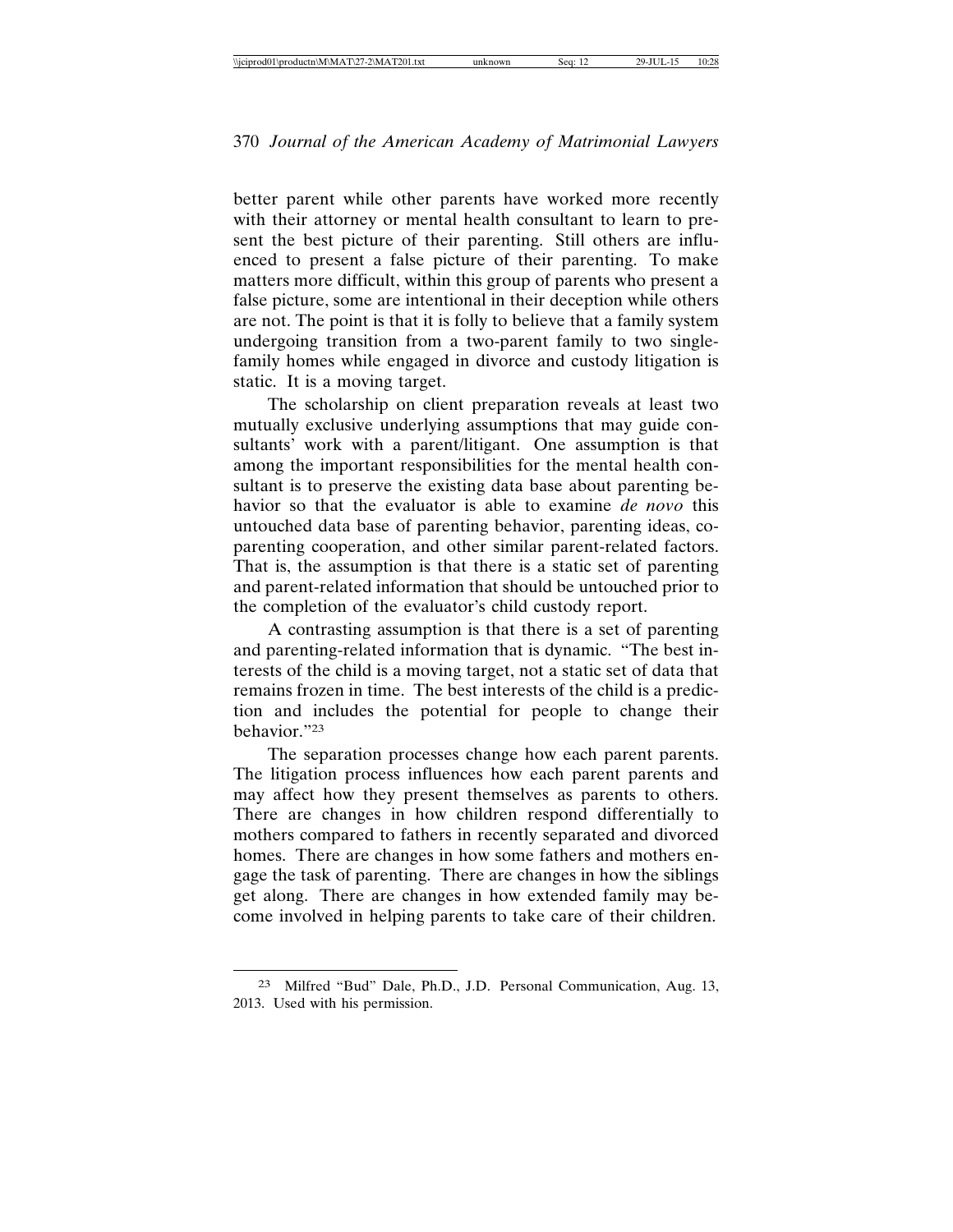better parent while other parents have worked more recently with their attorney or mental health consultant to learn to present the best picture of their parenting. Still others are influenced to present a false picture of their parenting. To make matters more difficult, within this group of parents who present a false picture, some are intentional in their deception while others are not. The point is that it is folly to believe that a family system undergoing transition from a two-parent family to two singlefamily homes while engaged in divorce and custody litigation is static. It is a moving target.

The scholarship on client preparation reveals at least two mutually exclusive underlying assumptions that may guide consultants' work with a parent/litigant. One assumption is that among the important responsibilities for the mental health consultant is to preserve the existing data base about parenting behavior so that the evaluator is able to examine *de novo* this untouched data base of parenting behavior, parenting ideas, coparenting cooperation, and other similar parent-related factors. That is, the assumption is that there is a static set of parenting and parent-related information that should be untouched prior to the completion of the evaluator's child custody report.

A contrasting assumption is that there is a set of parenting and parenting-related information that is dynamic. "The best interests of the child is a moving target, not a static set of data that remains frozen in time. The best interests of the child is a prediction and includes the potential for people to change their behavior."23

The separation processes change how each parent parents. The litigation process influences how each parent parents and may affect how they present themselves as parents to others. There are changes in how children respond differentially to mothers compared to fathers in recently separated and divorced homes. There are changes in how some fathers and mothers engage the task of parenting. There are changes in how the siblings get along. There are changes in how extended family may become involved in helping parents to take care of their children.

<sup>23</sup> Milfred "Bud" Dale, Ph.D., J.D. Personal Communication, Aug. 13, 2013. Used with his permission.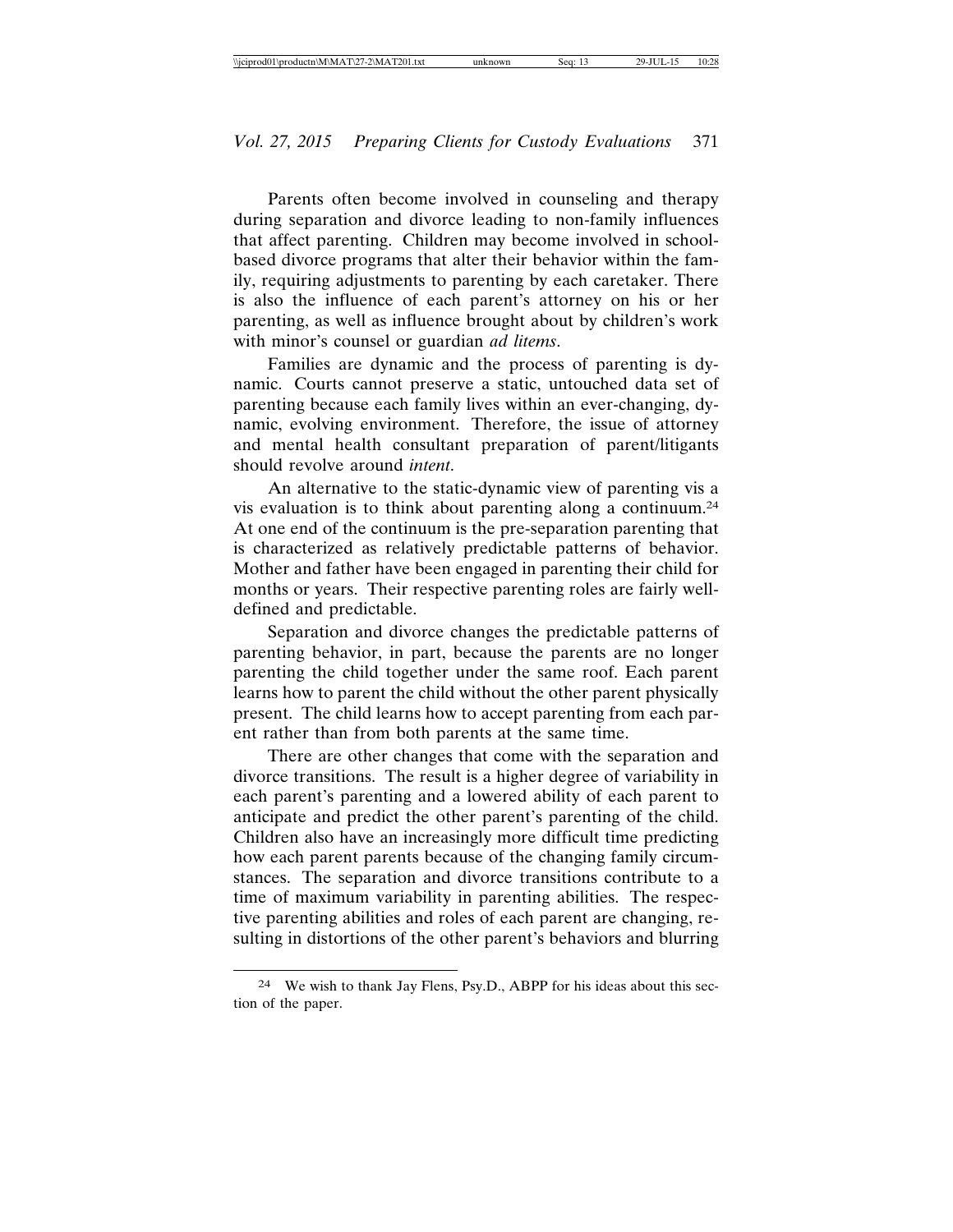Parents often become involved in counseling and therapy during separation and divorce leading to non-family influences that affect parenting. Children may become involved in schoolbased divorce programs that alter their behavior within the family, requiring adjustments to parenting by each caretaker. There is also the influence of each parent's attorney on his or her parenting, as well as influence brought about by children's work with minor's counsel or guardian *ad litems*.

Families are dynamic and the process of parenting is dynamic. Courts cannot preserve a static, untouched data set of parenting because each family lives within an ever-changing, dynamic, evolving environment. Therefore, the issue of attorney and mental health consultant preparation of parent/litigants should revolve around *intent*.

An alternative to the static-dynamic view of parenting vis a vis evaluation is to think about parenting along a continuum.24 At one end of the continuum is the pre-separation parenting that is characterized as relatively predictable patterns of behavior. Mother and father have been engaged in parenting their child for months or years. Their respective parenting roles are fairly welldefined and predictable.

Separation and divorce changes the predictable patterns of parenting behavior, in part, because the parents are no longer parenting the child together under the same roof. Each parent learns how to parent the child without the other parent physically present. The child learns how to accept parenting from each parent rather than from both parents at the same time.

There are other changes that come with the separation and divorce transitions. The result is a higher degree of variability in each parent's parenting and a lowered ability of each parent to anticipate and predict the other parent's parenting of the child. Children also have an increasingly more difficult time predicting how each parent parents because of the changing family circumstances. The separation and divorce transitions contribute to a time of maximum variability in parenting abilities. The respective parenting abilities and roles of each parent are changing, resulting in distortions of the other parent's behaviors and blurring

<sup>24</sup> We wish to thank Jay Flens, Psy.D., ABPP for his ideas about this section of the paper.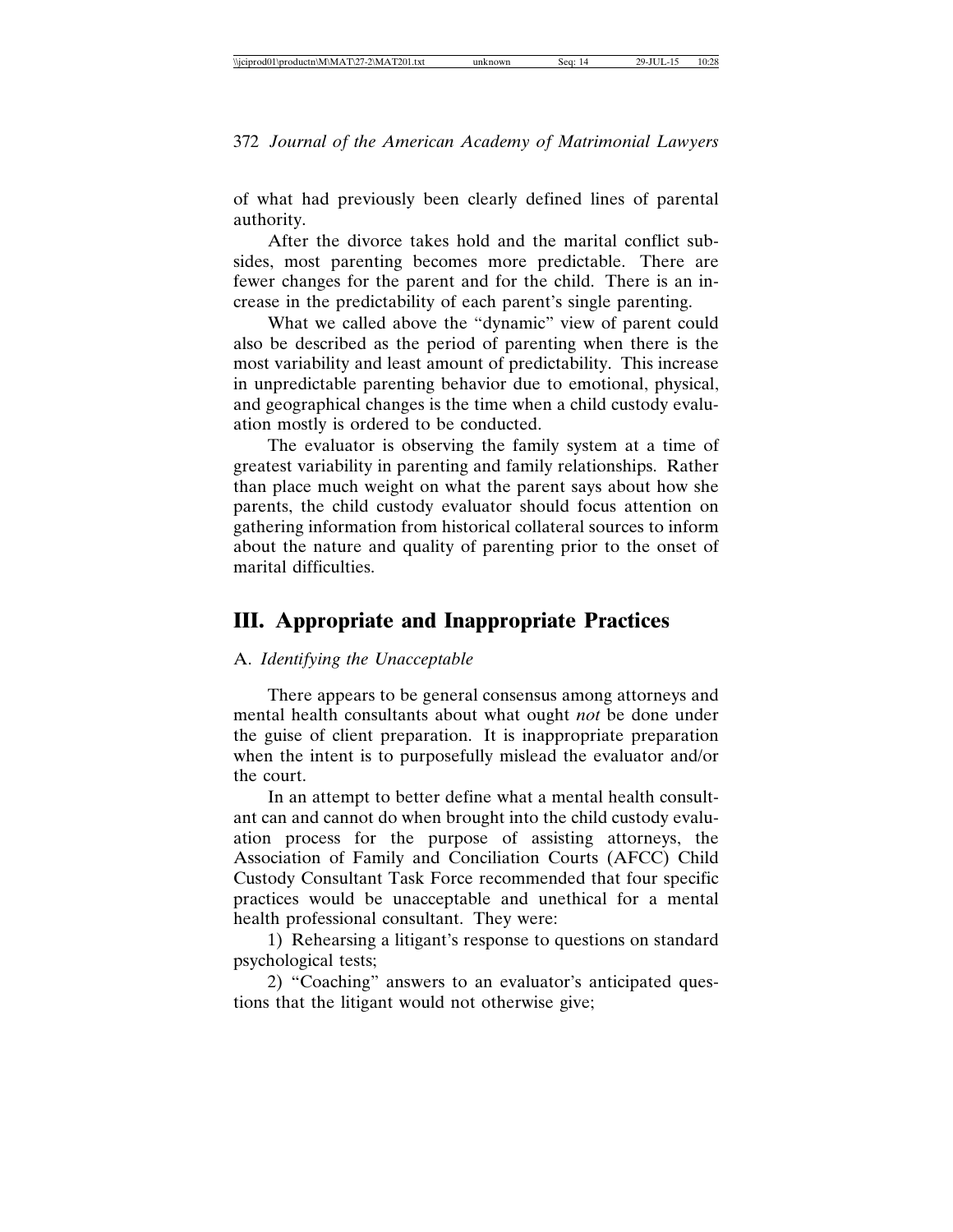of what had previously been clearly defined lines of parental authority.

After the divorce takes hold and the marital conflict subsides, most parenting becomes more predictable. There are fewer changes for the parent and for the child. There is an increase in the predictability of each parent's single parenting.

What we called above the "dynamic" view of parent could also be described as the period of parenting when there is the most variability and least amount of predictability. This increase in unpredictable parenting behavior due to emotional, physical, and geographical changes is the time when a child custody evaluation mostly is ordered to be conducted.

The evaluator is observing the family system at a time of greatest variability in parenting and family relationships. Rather than place much weight on what the parent says about how she parents, the child custody evaluator should focus attention on gathering information from historical collateral sources to inform about the nature and quality of parenting prior to the onset of marital difficulties.

## **III. Appropriate and Inappropriate Practices**

#### A. *Identifying the Unacceptable*

There appears to be general consensus among attorneys and mental health consultants about what ought *not* be done under the guise of client preparation. It is inappropriate preparation when the intent is to purposefully mislead the evaluator and/or the court.

In an attempt to better define what a mental health consultant can and cannot do when brought into the child custody evaluation process for the purpose of assisting attorneys, the Association of Family and Conciliation Courts (AFCC) Child Custody Consultant Task Force recommended that four specific practices would be unacceptable and unethical for a mental health professional consultant. They were:

1) Rehearsing a litigant's response to questions on standard psychological tests;

2) "Coaching" answers to an evaluator's anticipated questions that the litigant would not otherwise give;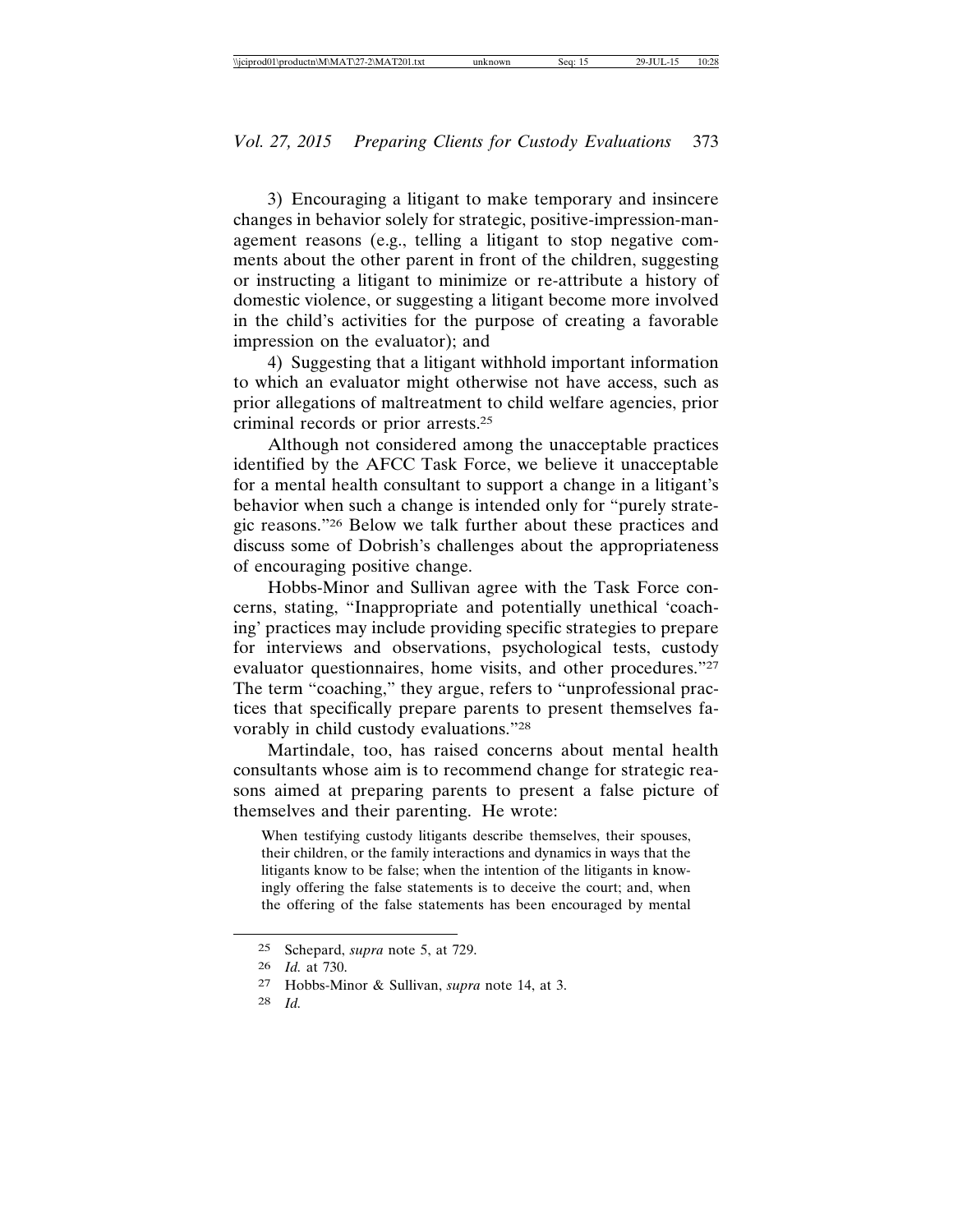3) Encouraging a litigant to make temporary and insincere changes in behavior solely for strategic, positive-impression-management reasons (e.g., telling a litigant to stop negative comments about the other parent in front of the children, suggesting or instructing a litigant to minimize or re-attribute a history of domestic violence, or suggesting a litigant become more involved in the child's activities for the purpose of creating a favorable impression on the evaluator); and

4) Suggesting that a litigant withhold important information to which an evaluator might otherwise not have access, such as prior allegations of maltreatment to child welfare agencies, prior criminal records or prior arrests.25

Although not considered among the unacceptable practices identified by the AFCC Task Force, we believe it unacceptable for a mental health consultant to support a change in a litigant's behavior when such a change is intended only for "purely strategic reasons."26 Below we talk further about these practices and discuss some of Dobrish's challenges about the appropriateness of encouraging positive change.

Hobbs-Minor and Sullivan agree with the Task Force concerns, stating, "Inappropriate and potentially unethical 'coaching' practices may include providing specific strategies to prepare for interviews and observations, psychological tests, custody evaluator questionnaires, home visits, and other procedures."27 The term "coaching," they argue, refers to "unprofessional practices that specifically prepare parents to present themselves favorably in child custody evaluations."28

Martindale, too, has raised concerns about mental health consultants whose aim is to recommend change for strategic reasons aimed at preparing parents to present a false picture of themselves and their parenting. He wrote:

When testifying custody litigants describe themselves, their spouses, their children, or the family interactions and dynamics in ways that the litigants know to be false; when the intention of the litigants in knowingly offering the false statements is to deceive the court; and, when the offering of the false statements has been encouraged by mental

<sup>25</sup> Schepard, *supra* note 5, at 729.

<sup>26</sup> *Id.* at 730.

<sup>27</sup> Hobbs-Minor & Sullivan, *supra* note 14, at 3.

<sup>28</sup> *Id.*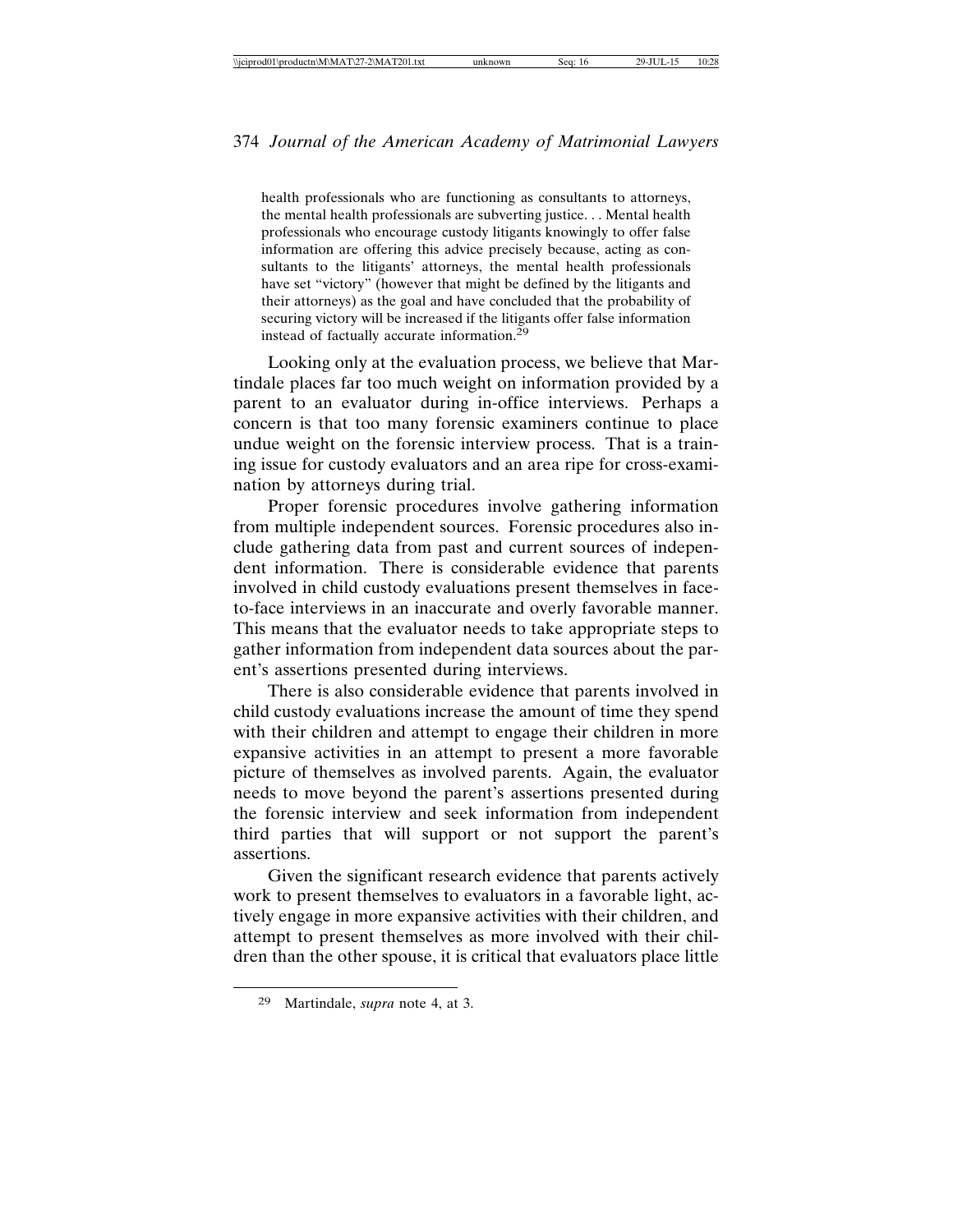health professionals who are functioning as consultants to attorneys, the mental health professionals are subverting justice. . . Mental health professionals who encourage custody litigants knowingly to offer false information are offering this advice precisely because, acting as consultants to the litigants' attorneys, the mental health professionals have set "victory" (however that might be defined by the litigants and their attorneys) as the goal and have concluded that the probability of securing victory will be increased if the litigants offer false information instead of factually accurate information.29

Looking only at the evaluation process, we believe that Martindale places far too much weight on information provided by a parent to an evaluator during in-office interviews. Perhaps a concern is that too many forensic examiners continue to place undue weight on the forensic interview process. That is a training issue for custody evaluators and an area ripe for cross-examination by attorneys during trial.

Proper forensic procedures involve gathering information from multiple independent sources. Forensic procedures also include gathering data from past and current sources of independent information. There is considerable evidence that parents involved in child custody evaluations present themselves in faceto-face interviews in an inaccurate and overly favorable manner. This means that the evaluator needs to take appropriate steps to gather information from independent data sources about the parent's assertions presented during interviews.

There is also considerable evidence that parents involved in child custody evaluations increase the amount of time they spend with their children and attempt to engage their children in more expansive activities in an attempt to present a more favorable picture of themselves as involved parents. Again, the evaluator needs to move beyond the parent's assertions presented during the forensic interview and seek information from independent third parties that will support or not support the parent's assertions.

Given the significant research evidence that parents actively work to present themselves to evaluators in a favorable light, actively engage in more expansive activities with their children, and attempt to present themselves as more involved with their children than the other spouse, it is critical that evaluators place little

<sup>29</sup> Martindale, *supra* note 4, at 3.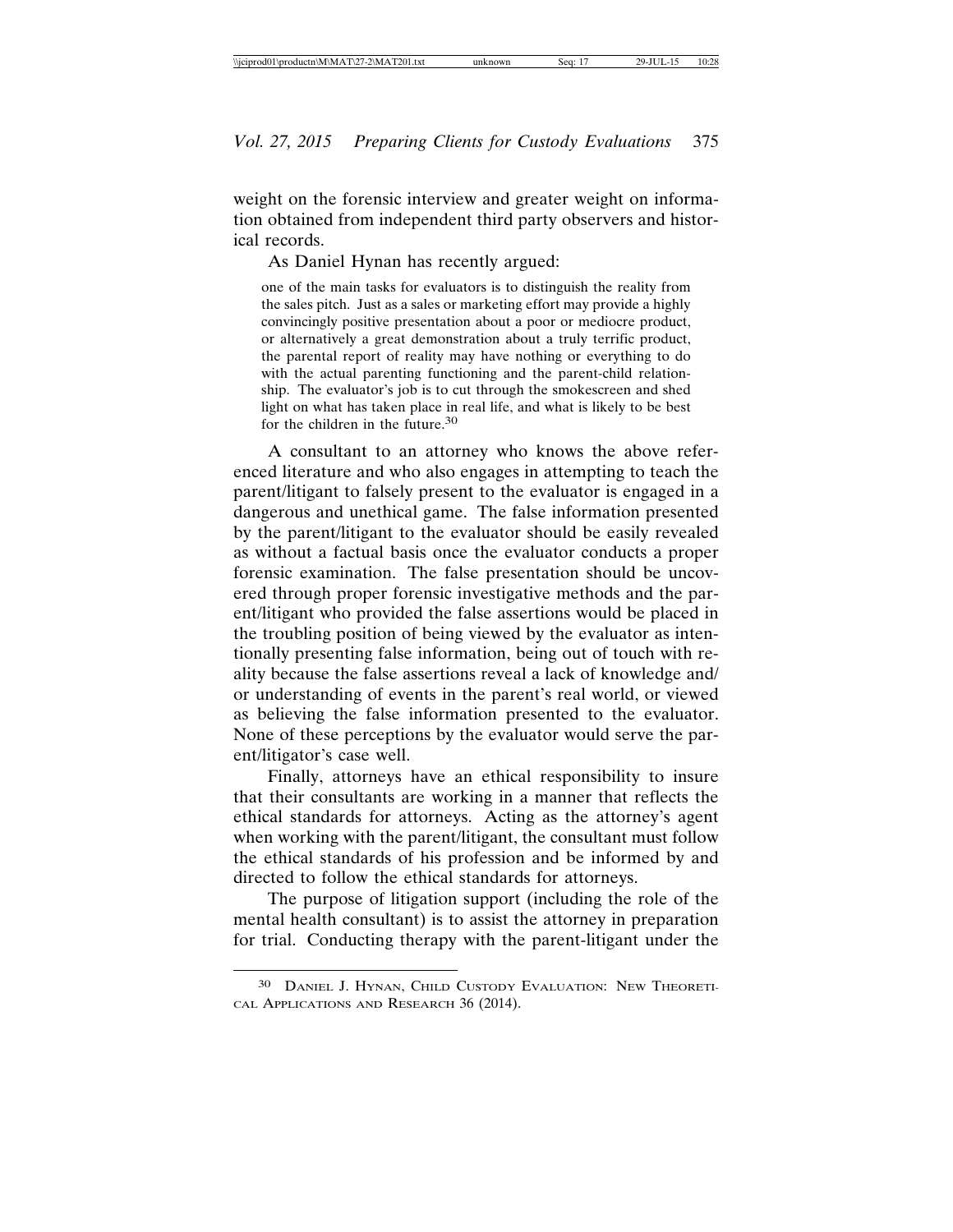weight on the forensic interview and greater weight on information obtained from independent third party observers and historical records.

As Daniel Hynan has recently argued:

one of the main tasks for evaluators is to distinguish the reality from the sales pitch. Just as a sales or marketing effort may provide a highly convincingly positive presentation about a poor or mediocre product, or alternatively a great demonstration about a truly terrific product, the parental report of reality may have nothing or everything to do with the actual parenting functioning and the parent-child relationship. The evaluator's job is to cut through the smokescreen and shed light on what has taken place in real life, and what is likely to be best for the children in the future.30

A consultant to an attorney who knows the above referenced literature and who also engages in attempting to teach the parent/litigant to falsely present to the evaluator is engaged in a dangerous and unethical game. The false information presented by the parent/litigant to the evaluator should be easily revealed as without a factual basis once the evaluator conducts a proper forensic examination. The false presentation should be uncovered through proper forensic investigative methods and the parent/litigant who provided the false assertions would be placed in the troubling position of being viewed by the evaluator as intentionally presenting false information, being out of touch with reality because the false assertions reveal a lack of knowledge and/ or understanding of events in the parent's real world, or viewed as believing the false information presented to the evaluator. None of these perceptions by the evaluator would serve the parent/litigator's case well.

Finally, attorneys have an ethical responsibility to insure that their consultants are working in a manner that reflects the ethical standards for attorneys. Acting as the attorney's agent when working with the parent/litigant, the consultant must follow the ethical standards of his profession and be informed by and directed to follow the ethical standards for attorneys.

The purpose of litigation support (including the role of the mental health consultant) is to assist the attorney in preparation for trial. Conducting therapy with the parent-litigant under the

<sup>30</sup> DANIEL J. HYNAN, CHILD CUSTODY EVALUATION: NEW THEORETI-CAL APPLICATIONS AND RESEARCH 36 (2014).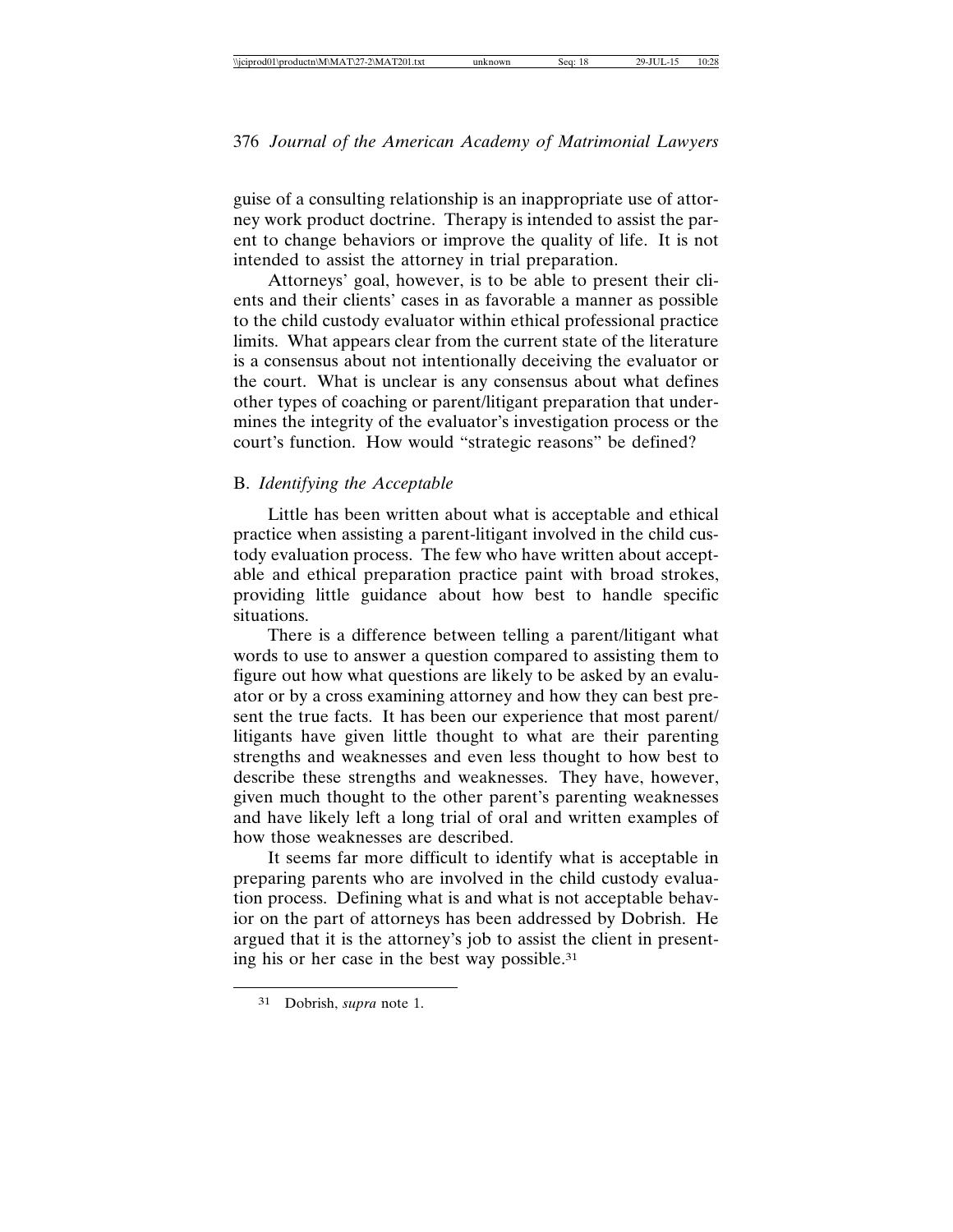guise of a consulting relationship is an inappropriate use of attorney work product doctrine. Therapy is intended to assist the parent to change behaviors or improve the quality of life. It is not intended to assist the attorney in trial preparation.

Attorneys' goal, however, is to be able to present their clients and their clients' cases in as favorable a manner as possible to the child custody evaluator within ethical professional practice limits. What appears clear from the current state of the literature is a consensus about not intentionally deceiving the evaluator or the court. What is unclear is any consensus about what defines other types of coaching or parent/litigant preparation that undermines the integrity of the evaluator's investigation process or the court's function. How would "strategic reasons" be defined?

#### B. *Identifying the Acceptable*

Little has been written about what is acceptable and ethical practice when assisting a parent-litigant involved in the child custody evaluation process. The few who have written about acceptable and ethical preparation practice paint with broad strokes, providing little guidance about how best to handle specific situations.

There is a difference between telling a parent/litigant what words to use to answer a question compared to assisting them to figure out how what questions are likely to be asked by an evaluator or by a cross examining attorney and how they can best present the true facts. It has been our experience that most parent/ litigants have given little thought to what are their parenting strengths and weaknesses and even less thought to how best to describe these strengths and weaknesses. They have, however, given much thought to the other parent's parenting weaknesses and have likely left a long trial of oral and written examples of how those weaknesses are described.

It seems far more difficult to identify what is acceptable in preparing parents who are involved in the child custody evaluation process. Defining what is and what is not acceptable behavior on the part of attorneys has been addressed by Dobrish. He argued that it is the attorney's job to assist the client in presenting his or her case in the best way possible.31

<sup>31</sup> Dobrish, *supra* note 1.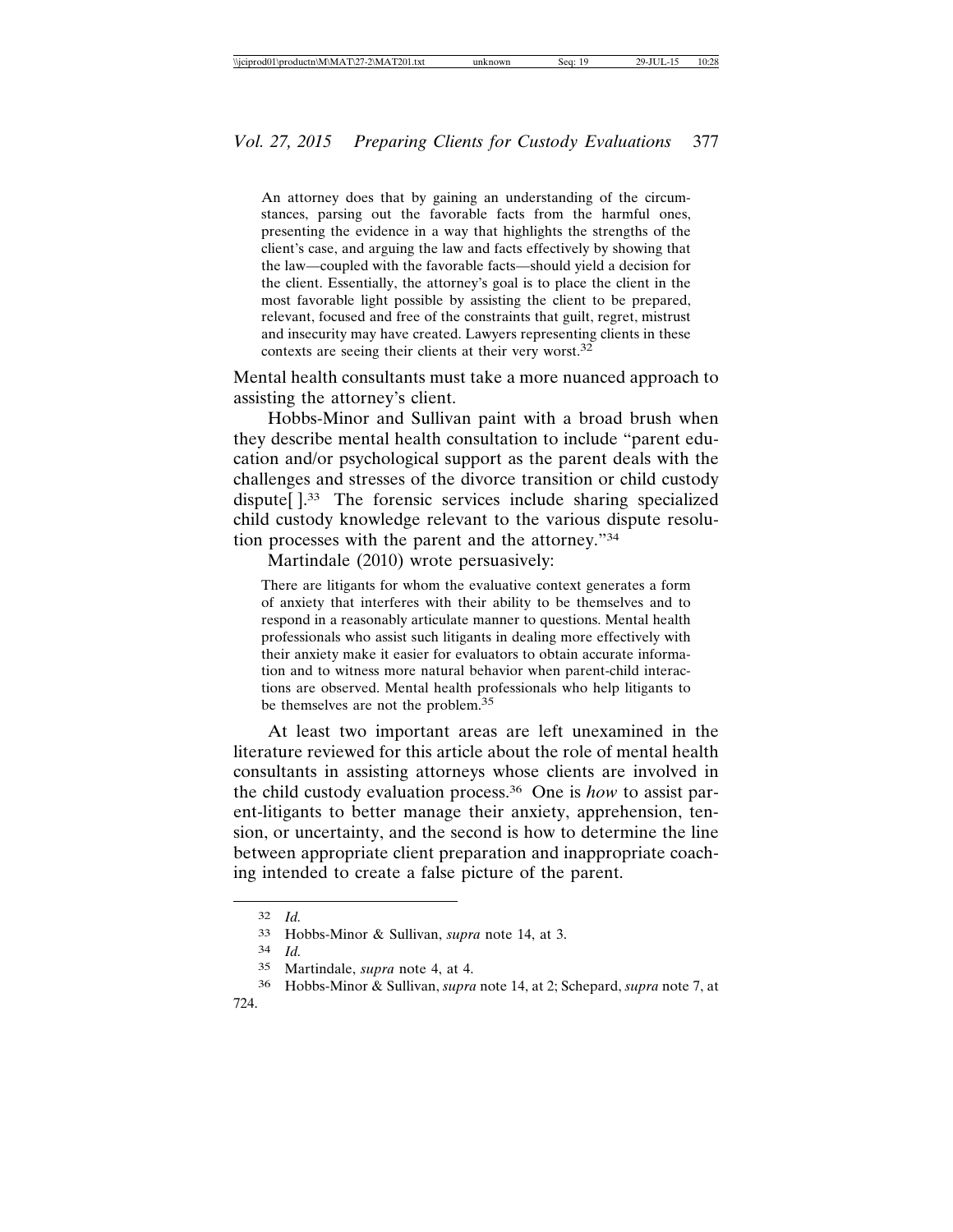An attorney does that by gaining an understanding of the circumstances, parsing out the favorable facts from the harmful ones, presenting the evidence in a way that highlights the strengths of the client's case, and arguing the law and facts effectively by showing that the law—coupled with the favorable facts—should yield a decision for the client. Essentially, the attorney's goal is to place the client in the most favorable light possible by assisting the client to be prepared, relevant, focused and free of the constraints that guilt, regret, mistrust and insecurity may have created. Lawyers representing clients in these contexts are seeing their clients at their very worst.32

Mental health consultants must take a more nuanced approach to assisting the attorney's client.

Hobbs-Minor and Sullivan paint with a broad brush when they describe mental health consultation to include "parent education and/or psychological support as the parent deals with the challenges and stresses of the divorce transition or child custody dispute[ ].33 The forensic services include sharing specialized child custody knowledge relevant to the various dispute resolution processes with the parent and the attorney."34

Martindale (2010) wrote persuasively:

There are litigants for whom the evaluative context generates a form of anxiety that interferes with their ability to be themselves and to respond in a reasonably articulate manner to questions. Mental health professionals who assist such litigants in dealing more effectively with their anxiety make it easier for evaluators to obtain accurate information and to witness more natural behavior when parent-child interactions are observed. Mental health professionals who help litigants to be themselves are not the problem.<sup>35</sup>

At least two important areas are left unexamined in the literature reviewed for this article about the role of mental health consultants in assisting attorneys whose clients are involved in the child custody evaluation process.36 One is *how* to assist parent-litigants to better manage their anxiety, apprehension, tension, or uncertainty, and the second is how to determine the line between appropriate client preparation and inappropriate coaching intended to create a false picture of the parent.

<sup>32</sup> *Id.*

<sup>33</sup> Hobbs-Minor & Sullivan, *supra* note 14, at 3.

<sup>34</sup> *Id.*

<sup>35</sup> Martindale, *supra* note 4, at 4.

<sup>36</sup> Hobbs-Minor & Sullivan, *supra* note 14, at 2; Schepard, *supra* note 7, at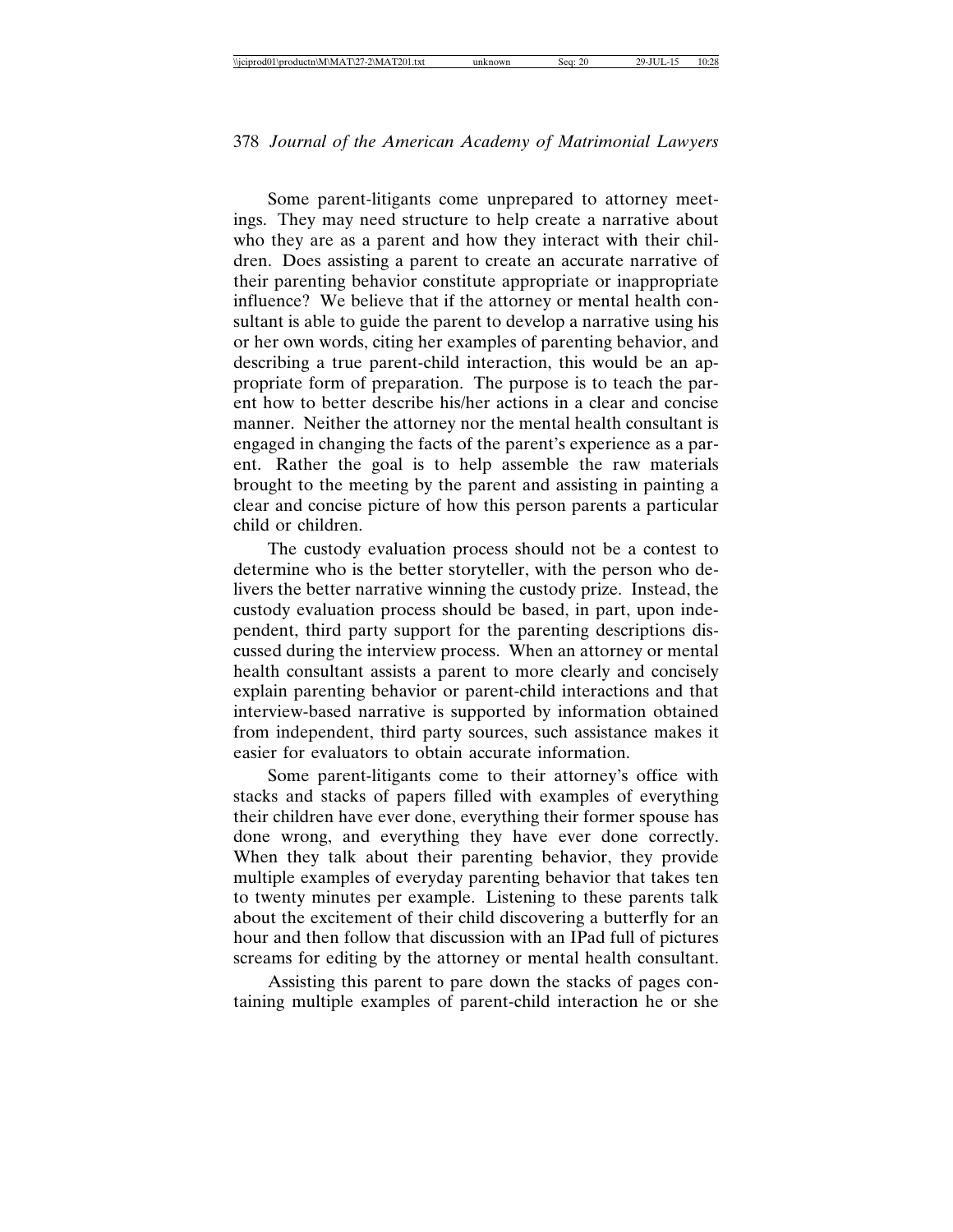Some parent-litigants come unprepared to attorney meetings. They may need structure to help create a narrative about who they are as a parent and how they interact with their children. Does assisting a parent to create an accurate narrative of their parenting behavior constitute appropriate or inappropriate influence? We believe that if the attorney or mental health consultant is able to guide the parent to develop a narrative using his or her own words, citing her examples of parenting behavior, and describing a true parent-child interaction, this would be an appropriate form of preparation. The purpose is to teach the parent how to better describe his/her actions in a clear and concise manner. Neither the attorney nor the mental health consultant is engaged in changing the facts of the parent's experience as a parent. Rather the goal is to help assemble the raw materials brought to the meeting by the parent and assisting in painting a clear and concise picture of how this person parents a particular child or children.

The custody evaluation process should not be a contest to determine who is the better storyteller, with the person who delivers the better narrative winning the custody prize. Instead, the custody evaluation process should be based, in part, upon independent, third party support for the parenting descriptions discussed during the interview process. When an attorney or mental health consultant assists a parent to more clearly and concisely explain parenting behavior or parent-child interactions and that interview-based narrative is supported by information obtained from independent, third party sources, such assistance makes it easier for evaluators to obtain accurate information.

Some parent-litigants come to their attorney's office with stacks and stacks of papers filled with examples of everything their children have ever done, everything their former spouse has done wrong, and everything they have ever done correctly. When they talk about their parenting behavior, they provide multiple examples of everyday parenting behavior that takes ten to twenty minutes per example. Listening to these parents talk about the excitement of their child discovering a butterfly for an hour and then follow that discussion with an IPad full of pictures screams for editing by the attorney or mental health consultant.

Assisting this parent to pare down the stacks of pages containing multiple examples of parent-child interaction he or she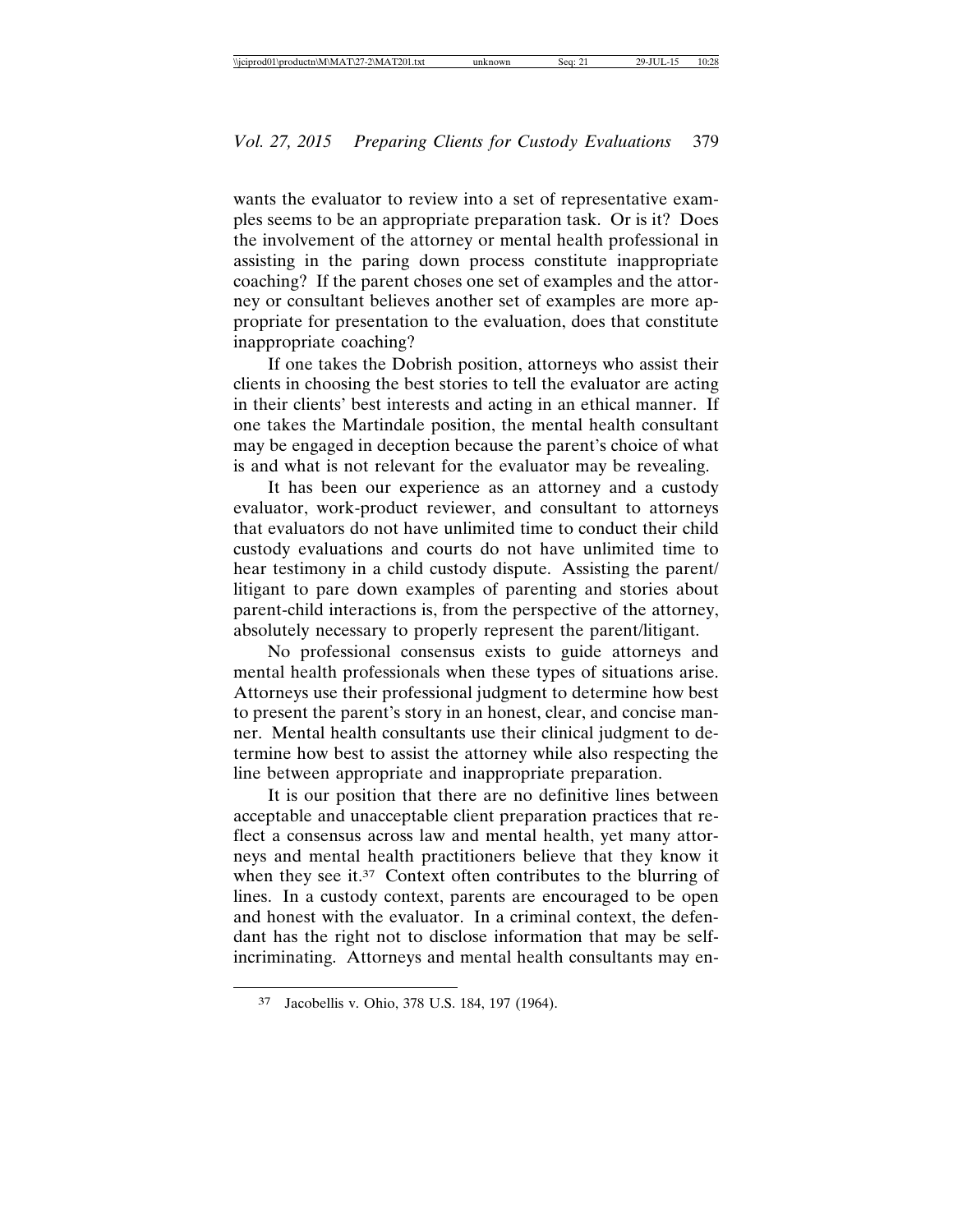wants the evaluator to review into a set of representative examples seems to be an appropriate preparation task. Or is it? Does the involvement of the attorney or mental health professional in assisting in the paring down process constitute inappropriate coaching? If the parent choses one set of examples and the attorney or consultant believes another set of examples are more appropriate for presentation to the evaluation, does that constitute inappropriate coaching?

If one takes the Dobrish position, attorneys who assist their clients in choosing the best stories to tell the evaluator are acting in their clients' best interests and acting in an ethical manner. If one takes the Martindale position, the mental health consultant may be engaged in deception because the parent's choice of what is and what is not relevant for the evaluator may be revealing.

It has been our experience as an attorney and a custody evaluator, work-product reviewer, and consultant to attorneys that evaluators do not have unlimited time to conduct their child custody evaluations and courts do not have unlimited time to hear testimony in a child custody dispute. Assisting the parent/ litigant to pare down examples of parenting and stories about parent-child interactions is, from the perspective of the attorney, absolutely necessary to properly represent the parent/litigant.

No professional consensus exists to guide attorneys and mental health professionals when these types of situations arise. Attorneys use their professional judgment to determine how best to present the parent's story in an honest, clear, and concise manner. Mental health consultants use their clinical judgment to determine how best to assist the attorney while also respecting the line between appropriate and inappropriate preparation.

It is our position that there are no definitive lines between acceptable and unacceptable client preparation practices that reflect a consensus across law and mental health, yet many attorneys and mental health practitioners believe that they know it when they see it.<sup>37</sup> Context often contributes to the blurring of lines. In a custody context, parents are encouraged to be open and honest with the evaluator. In a criminal context, the defendant has the right not to disclose information that may be selfincriminating. Attorneys and mental health consultants may en-

<sup>37</sup> Jacobellis v. Ohio, 378 U.S. 184, 197 (1964).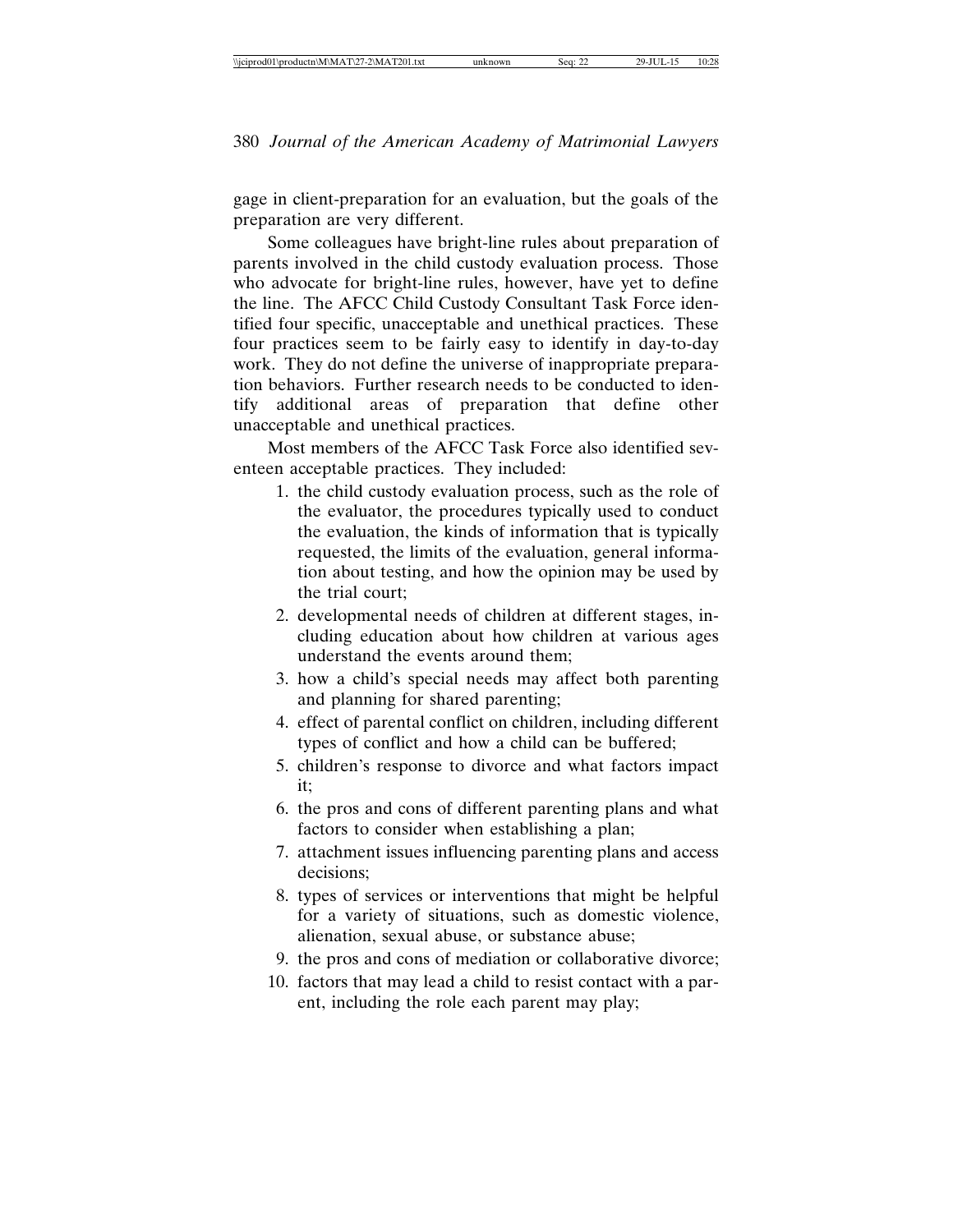gage in client-preparation for an evaluation, but the goals of the preparation are very different.

Some colleagues have bright-line rules about preparation of parents involved in the child custody evaluation process. Those who advocate for bright-line rules, however, have yet to define the line. The AFCC Child Custody Consultant Task Force identified four specific, unacceptable and unethical practices. These four practices seem to be fairly easy to identify in day-to-day work. They do not define the universe of inappropriate preparation behaviors. Further research needs to be conducted to identify additional areas of preparation that define other unacceptable and unethical practices.

Most members of the AFCC Task Force also identified seventeen acceptable practices. They included:

- 1. the child custody evaluation process, such as the role of the evaluator, the procedures typically used to conduct the evaluation, the kinds of information that is typically requested, the limits of the evaluation, general information about testing, and how the opinion may be used by the trial court;
- 2. developmental needs of children at different stages, including education about how children at various ages understand the events around them;
- 3. how a child's special needs may affect both parenting and planning for shared parenting;
- 4. effect of parental conflict on children, including different types of conflict and how a child can be buffered;
- 5. children's response to divorce and what factors impact it;
- 6. the pros and cons of different parenting plans and what factors to consider when establishing a plan;
- 7. attachment issues influencing parenting plans and access decisions;
- 8. types of services or interventions that might be helpful for a variety of situations, such as domestic violence, alienation, sexual abuse, or substance abuse;
- 9. the pros and cons of mediation or collaborative divorce;
- 10. factors that may lead a child to resist contact with a parent, including the role each parent may play;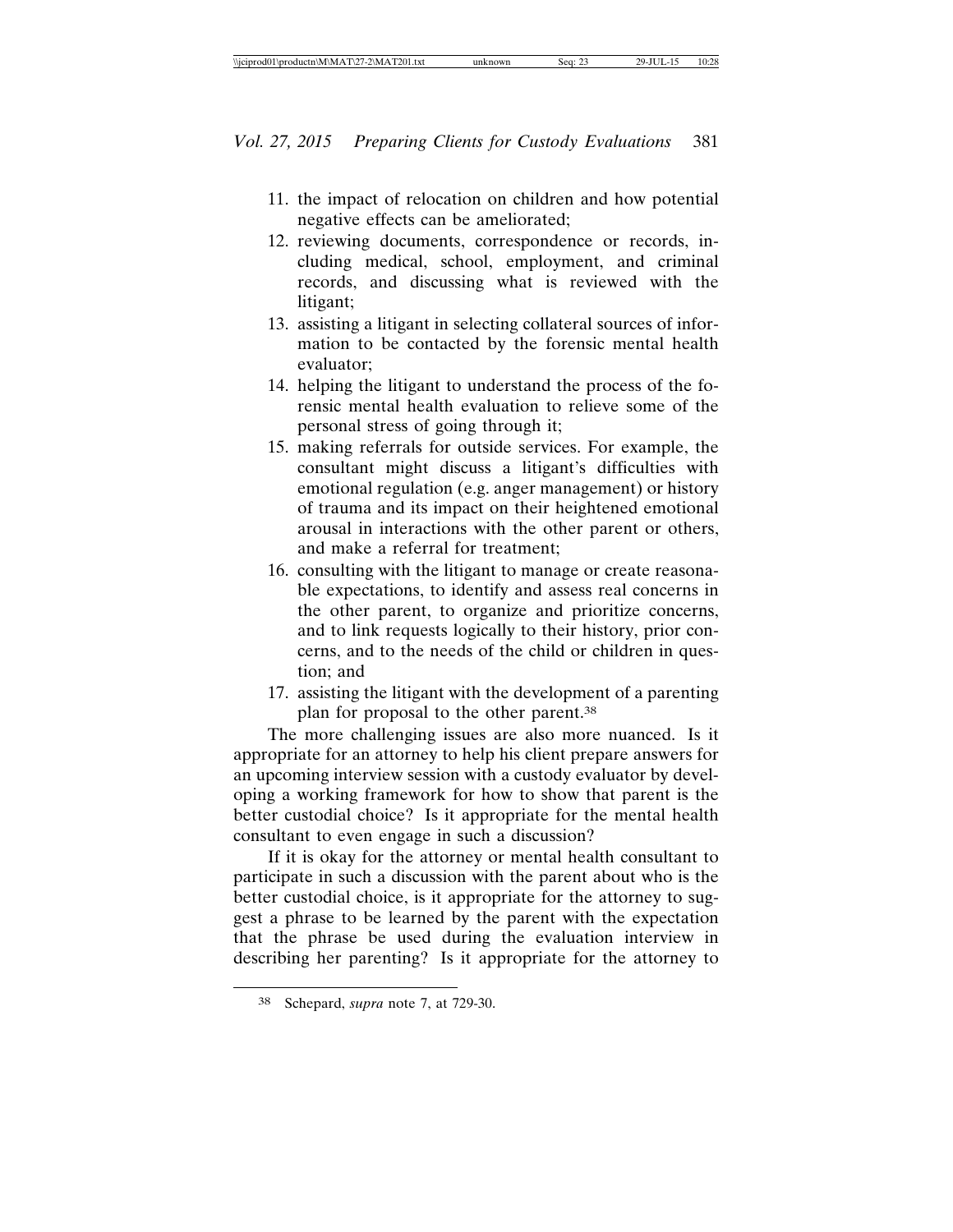- 11. the impact of relocation on children and how potential negative effects can be ameliorated;
- 12. reviewing documents, correspondence or records, including medical, school, employment, and criminal records, and discussing what is reviewed with the litigant;
- 13. assisting a litigant in selecting collateral sources of information to be contacted by the forensic mental health evaluator;
- 14. helping the litigant to understand the process of the forensic mental health evaluation to relieve some of the personal stress of going through it;
- 15. making referrals for outside services. For example, the consultant might discuss a litigant's difficulties with emotional regulation (e.g. anger management) or history of trauma and its impact on their heightened emotional arousal in interactions with the other parent or others, and make a referral for treatment;
- 16. consulting with the litigant to manage or create reasonable expectations, to identify and assess real concerns in the other parent, to organize and prioritize concerns, and to link requests logically to their history, prior concerns, and to the needs of the child or children in question; and
- 17. assisting the litigant with the development of a parenting plan for proposal to the other parent.38

The more challenging issues are also more nuanced. Is it appropriate for an attorney to help his client prepare answers for an upcoming interview session with a custody evaluator by developing a working framework for how to show that parent is the better custodial choice? Is it appropriate for the mental health consultant to even engage in such a discussion?

If it is okay for the attorney or mental health consultant to participate in such a discussion with the parent about who is the better custodial choice, is it appropriate for the attorney to suggest a phrase to be learned by the parent with the expectation that the phrase be used during the evaluation interview in describing her parenting? Is it appropriate for the attorney to

<sup>38</sup> Schepard, *supra* note 7, at 729-30.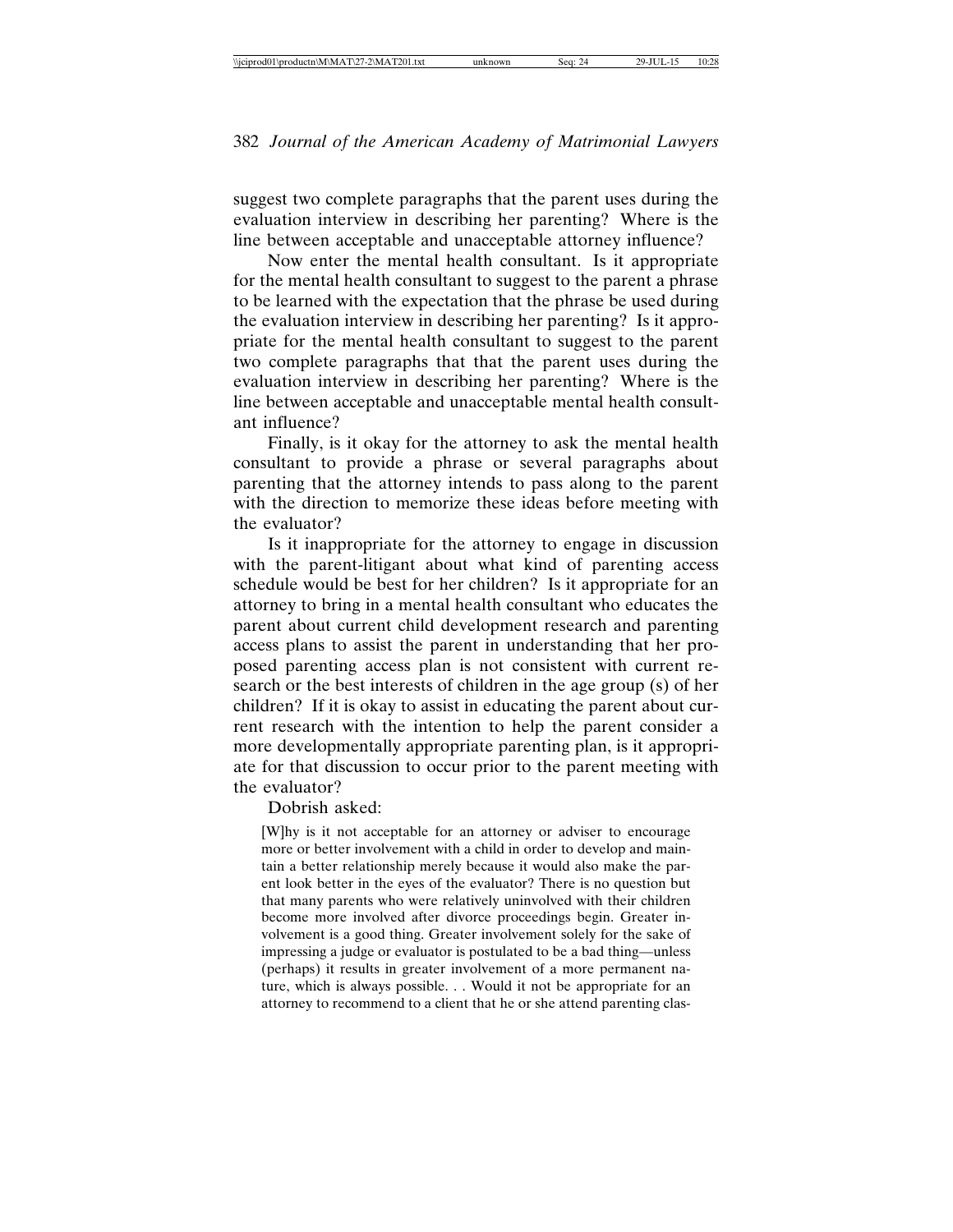suggest two complete paragraphs that the parent uses during the evaluation interview in describing her parenting? Where is the line between acceptable and unacceptable attorney influence?

Now enter the mental health consultant. Is it appropriate for the mental health consultant to suggest to the parent a phrase to be learned with the expectation that the phrase be used during the evaluation interview in describing her parenting? Is it appropriate for the mental health consultant to suggest to the parent two complete paragraphs that that the parent uses during the evaluation interview in describing her parenting? Where is the line between acceptable and unacceptable mental health consultant influence?

Finally, is it okay for the attorney to ask the mental health consultant to provide a phrase or several paragraphs about parenting that the attorney intends to pass along to the parent with the direction to memorize these ideas before meeting with the evaluator?

Is it inappropriate for the attorney to engage in discussion with the parent-litigant about what kind of parenting access schedule would be best for her children? Is it appropriate for an attorney to bring in a mental health consultant who educates the parent about current child development research and parenting access plans to assist the parent in understanding that her proposed parenting access plan is not consistent with current research or the best interests of children in the age group (s) of her children? If it is okay to assist in educating the parent about current research with the intention to help the parent consider a more developmentally appropriate parenting plan, is it appropriate for that discussion to occur prior to the parent meeting with the evaluator?

Dobrish asked:

[W]hy is it not acceptable for an attorney or adviser to encourage more or better involvement with a child in order to develop and maintain a better relationship merely because it would also make the parent look better in the eyes of the evaluator? There is no question but that many parents who were relatively uninvolved with their children become more involved after divorce proceedings begin. Greater involvement is a good thing. Greater involvement solely for the sake of impressing a judge or evaluator is postulated to be a bad thing—unless (perhaps) it results in greater involvement of a more permanent nature, which is always possible. . . Would it not be appropriate for an attorney to recommend to a client that he or she attend parenting clas-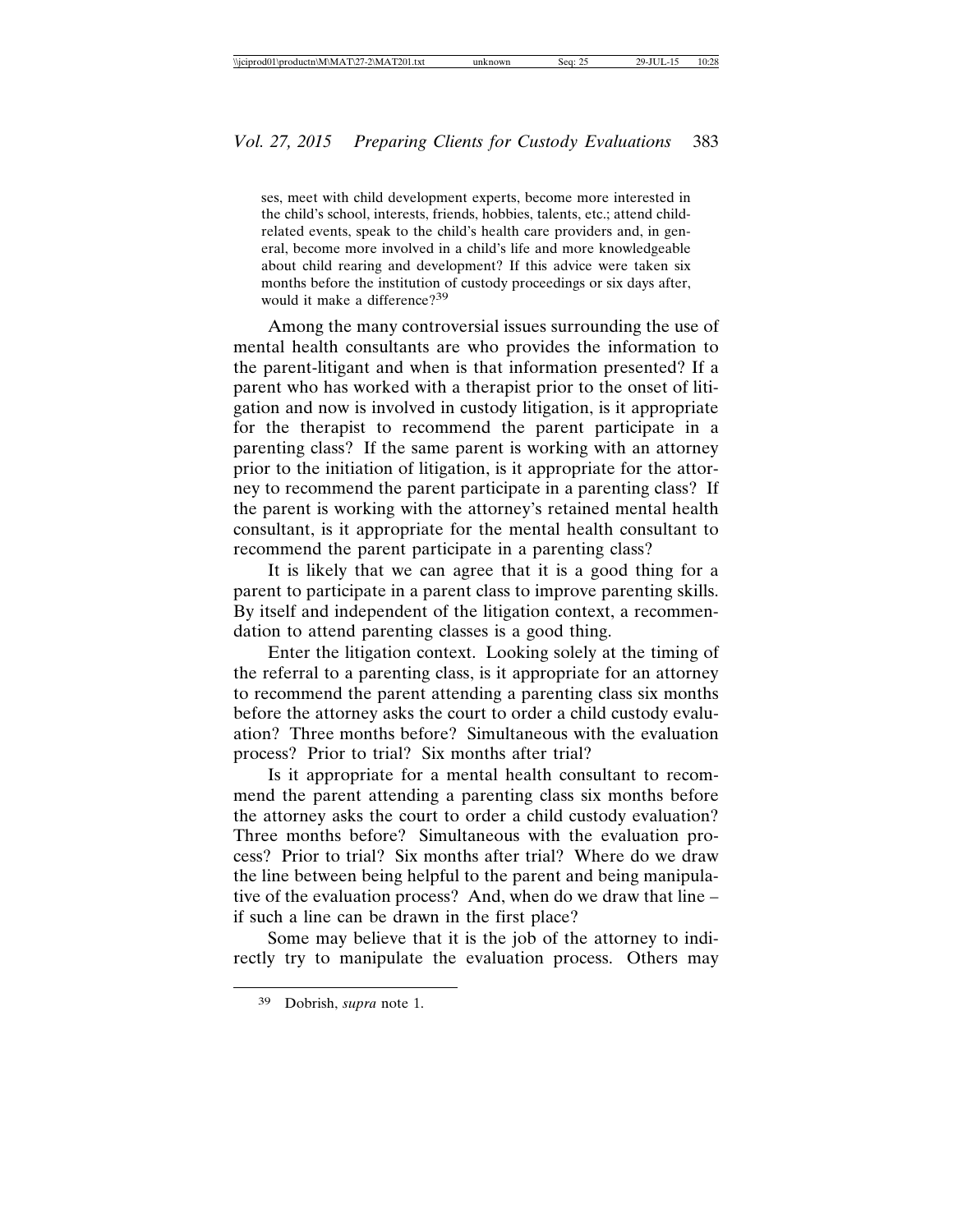ses, meet with child development experts, become more interested in the child's school, interests, friends, hobbies, talents, etc.; attend childrelated events, speak to the child's health care providers and, in general, become more involved in a child's life and more knowledgeable about child rearing and development? If this advice were taken six months before the institution of custody proceedings or six days after, would it make a difference?<sup>39</sup>

Among the many controversial issues surrounding the use of mental health consultants are who provides the information to the parent-litigant and when is that information presented? If a parent who has worked with a therapist prior to the onset of litigation and now is involved in custody litigation, is it appropriate for the therapist to recommend the parent participate in a parenting class? If the same parent is working with an attorney prior to the initiation of litigation, is it appropriate for the attorney to recommend the parent participate in a parenting class? If the parent is working with the attorney's retained mental health consultant, is it appropriate for the mental health consultant to recommend the parent participate in a parenting class?

It is likely that we can agree that it is a good thing for a parent to participate in a parent class to improve parenting skills. By itself and independent of the litigation context, a recommendation to attend parenting classes is a good thing.

Enter the litigation context. Looking solely at the timing of the referral to a parenting class, is it appropriate for an attorney to recommend the parent attending a parenting class six months before the attorney asks the court to order a child custody evaluation? Three months before? Simultaneous with the evaluation process? Prior to trial? Six months after trial?

Is it appropriate for a mental health consultant to recommend the parent attending a parenting class six months before the attorney asks the court to order a child custody evaluation? Three months before? Simultaneous with the evaluation process? Prior to trial? Six months after trial? Where do we draw the line between being helpful to the parent and being manipulative of the evaluation process? And, when do we draw that line – if such a line can be drawn in the first place?

Some may believe that it is the job of the attorney to indirectly try to manipulate the evaluation process. Others may

Dobrish, *supra* note 1.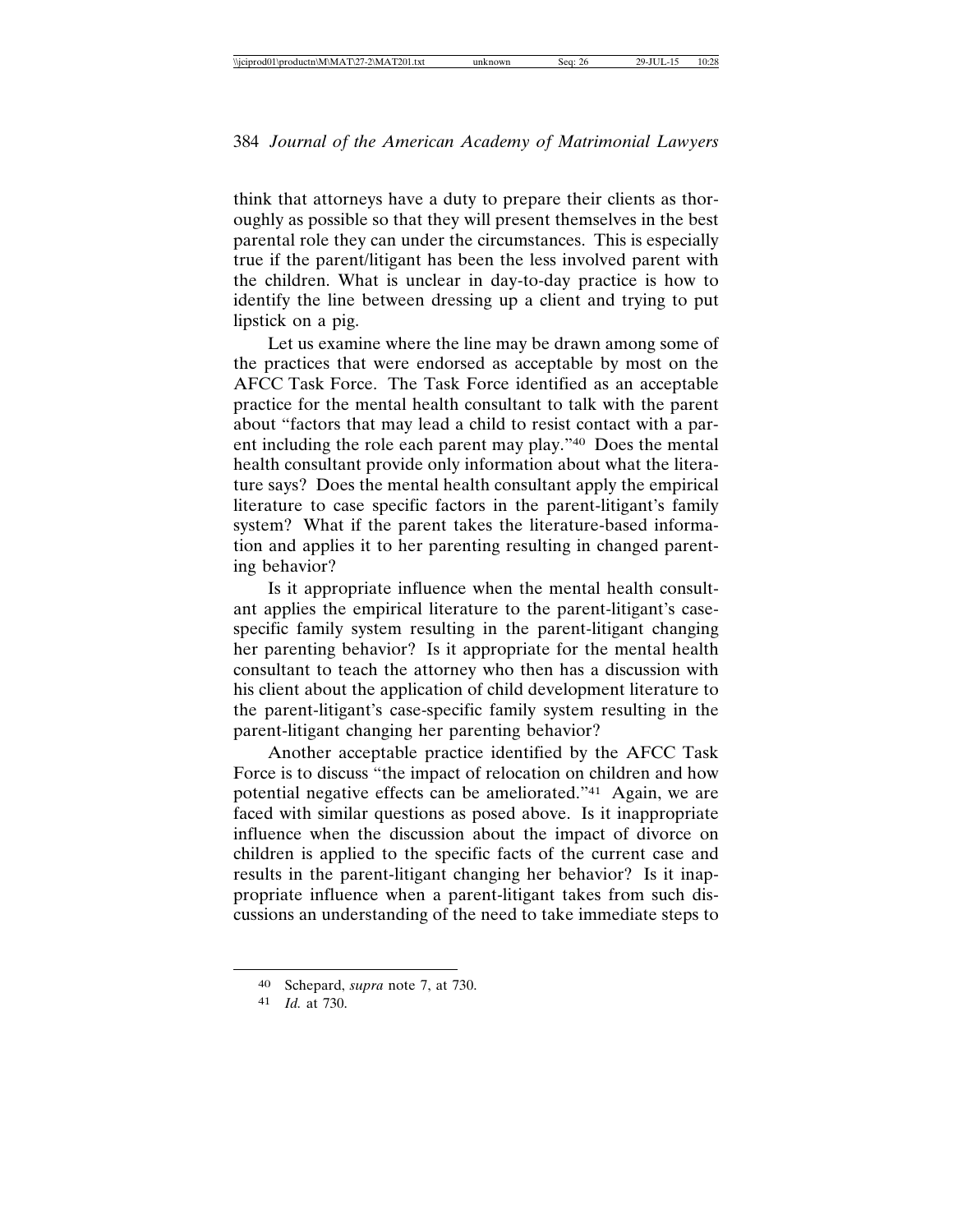think that attorneys have a duty to prepare their clients as thoroughly as possible so that they will present themselves in the best parental role they can under the circumstances. This is especially true if the parent/litigant has been the less involved parent with the children. What is unclear in day-to-day practice is how to identify the line between dressing up a client and trying to put lipstick on a pig.

Let us examine where the line may be drawn among some of the practices that were endorsed as acceptable by most on the AFCC Task Force. The Task Force identified as an acceptable practice for the mental health consultant to talk with the parent about "factors that may lead a child to resist contact with a parent including the role each parent may play."40 Does the mental health consultant provide only information about what the literature says? Does the mental health consultant apply the empirical literature to case specific factors in the parent-litigant's family system? What if the parent takes the literature-based information and applies it to her parenting resulting in changed parenting behavior?

Is it appropriate influence when the mental health consultant applies the empirical literature to the parent-litigant's casespecific family system resulting in the parent-litigant changing her parenting behavior? Is it appropriate for the mental health consultant to teach the attorney who then has a discussion with his client about the application of child development literature to the parent-litigant's case-specific family system resulting in the parent-litigant changing her parenting behavior?

Another acceptable practice identified by the AFCC Task Force is to discuss "the impact of relocation on children and how potential negative effects can be ameliorated."41 Again, we are faced with similar questions as posed above. Is it inappropriate influence when the discussion about the impact of divorce on children is applied to the specific facts of the current case and results in the parent-litigant changing her behavior? Is it inappropriate influence when a parent-litigant takes from such discussions an understanding of the need to take immediate steps to

<sup>40</sup> Schepard, *supra* note 7, at 730.

<sup>41</sup> *Id.* at 730.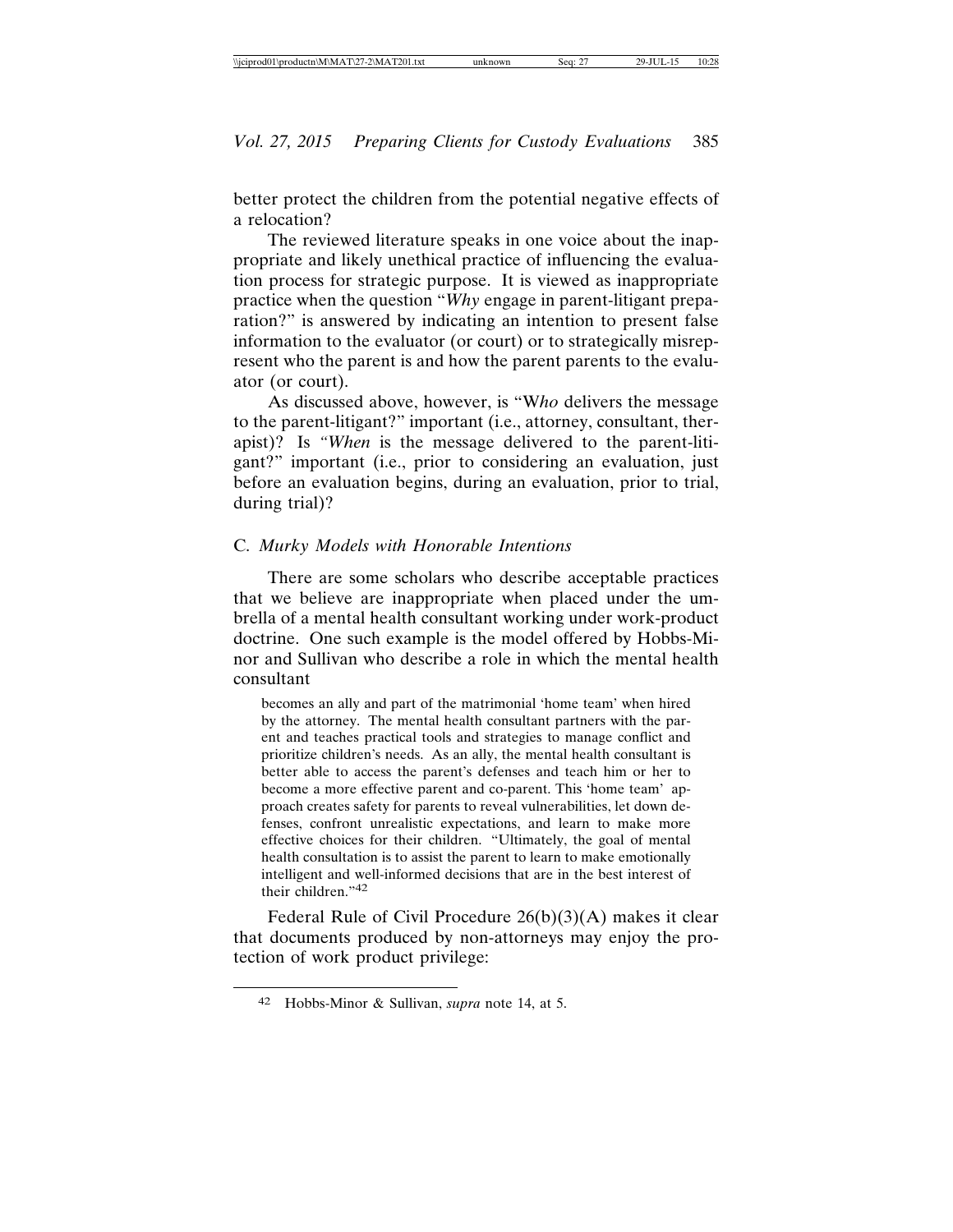better protect the children from the potential negative effects of a relocation?

The reviewed literature speaks in one voice about the inappropriate and likely unethical practice of influencing the evaluation process for strategic purpose. It is viewed as inappropriate practice when the question "*Why* engage in parent-litigant preparation?" is answered by indicating an intention to present false information to the evaluator (or court) or to strategically misrepresent who the parent is and how the parent parents to the evaluator (or court).

As discussed above, however, is "W*ho* delivers the message to the parent-litigant?" important (i.e., attorney, consultant, therapist)? Is *"When* is the message delivered to the parent-litigant?" important (i.e., prior to considering an evaluation, just before an evaluation begins, during an evaluation, prior to trial, during trial)?

#### C. *Murky Models with Honorable Intentions*

There are some scholars who describe acceptable practices that we believe are inappropriate when placed under the umbrella of a mental health consultant working under work-product doctrine. One such example is the model offered by Hobbs-Minor and Sullivan who describe a role in which the mental health consultant

becomes an ally and part of the matrimonial 'home team' when hired by the attorney. The mental health consultant partners with the parent and teaches practical tools and strategies to manage conflict and prioritize children's needs. As an ally, the mental health consultant is better able to access the parent's defenses and teach him or her to become a more effective parent and co-parent. This 'home team' approach creates safety for parents to reveal vulnerabilities, let down defenses, confront unrealistic expectations, and learn to make more effective choices for their children. "Ultimately, the goal of mental health consultation is to assist the parent to learn to make emotionally intelligent and well-informed decisions that are in the best interest of their children."42

Federal Rule of Civil Procedure 26(b)(3)(A) makes it clear that documents produced by non-attorneys may enjoy the protection of work product privilege:

<sup>42</sup> Hobbs-Minor & Sullivan, *supra* note 14, at 5.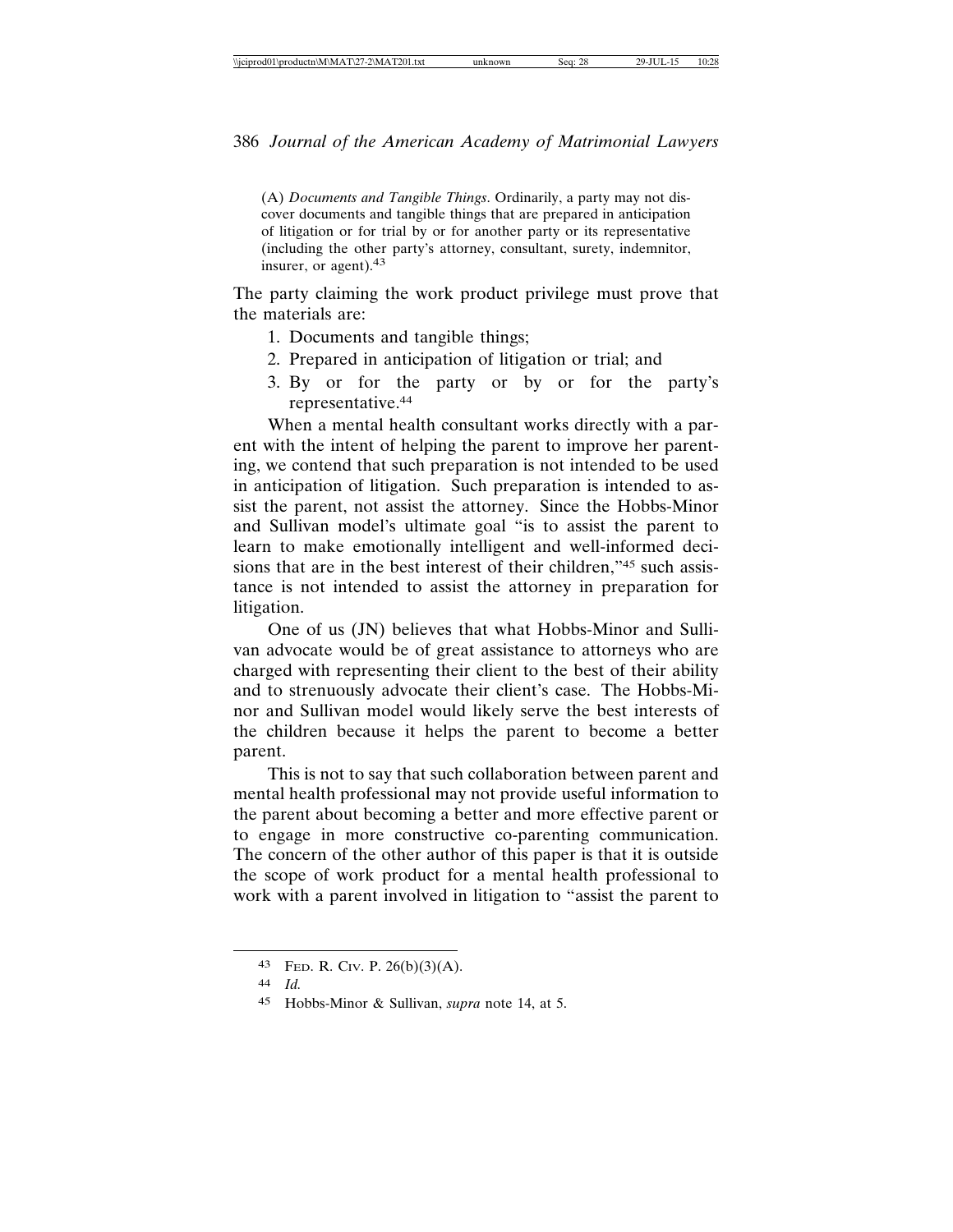(A) *Documents and Tangible Things*. Ordinarily, a party may not discover documents and tangible things that are prepared in anticipation of litigation or for trial by or for another party or its representative (including the other party's attorney, consultant, surety, indemnitor, insurer, or agent).43

The party claiming the work product privilege must prove that the materials are:

- 1. Documents and tangible things;
- 2. Prepared in anticipation of litigation or trial; and
- 3. By or for the party or by or for the party's representative.44

When a mental health consultant works directly with a parent with the intent of helping the parent to improve her parenting, we contend that such preparation is not intended to be used in anticipation of litigation. Such preparation is intended to assist the parent, not assist the attorney. Since the Hobbs-Minor and Sullivan model's ultimate goal "is to assist the parent to learn to make emotionally intelligent and well-informed decisions that are in the best interest of their children,"<sup>45</sup> such assistance is not intended to assist the attorney in preparation for litigation.

One of us (JN) believes that what Hobbs-Minor and Sullivan advocate would be of great assistance to attorneys who are charged with representing their client to the best of their ability and to strenuously advocate their client's case. The Hobbs-Minor and Sullivan model would likely serve the best interests of the children because it helps the parent to become a better parent.

This is not to say that such collaboration between parent and mental health professional may not provide useful information to the parent about becoming a better and more effective parent or to engage in more constructive co-parenting communication. The concern of the other author of this paper is that it is outside the scope of work product for a mental health professional to work with a parent involved in litigation to "assist the parent to

<sup>43</sup> FED. R. CIV. P. 26(b)(3)(A).

<sup>44</sup> *Id.*

<sup>45</sup> Hobbs-Minor & Sullivan, *supra* note 14, at 5.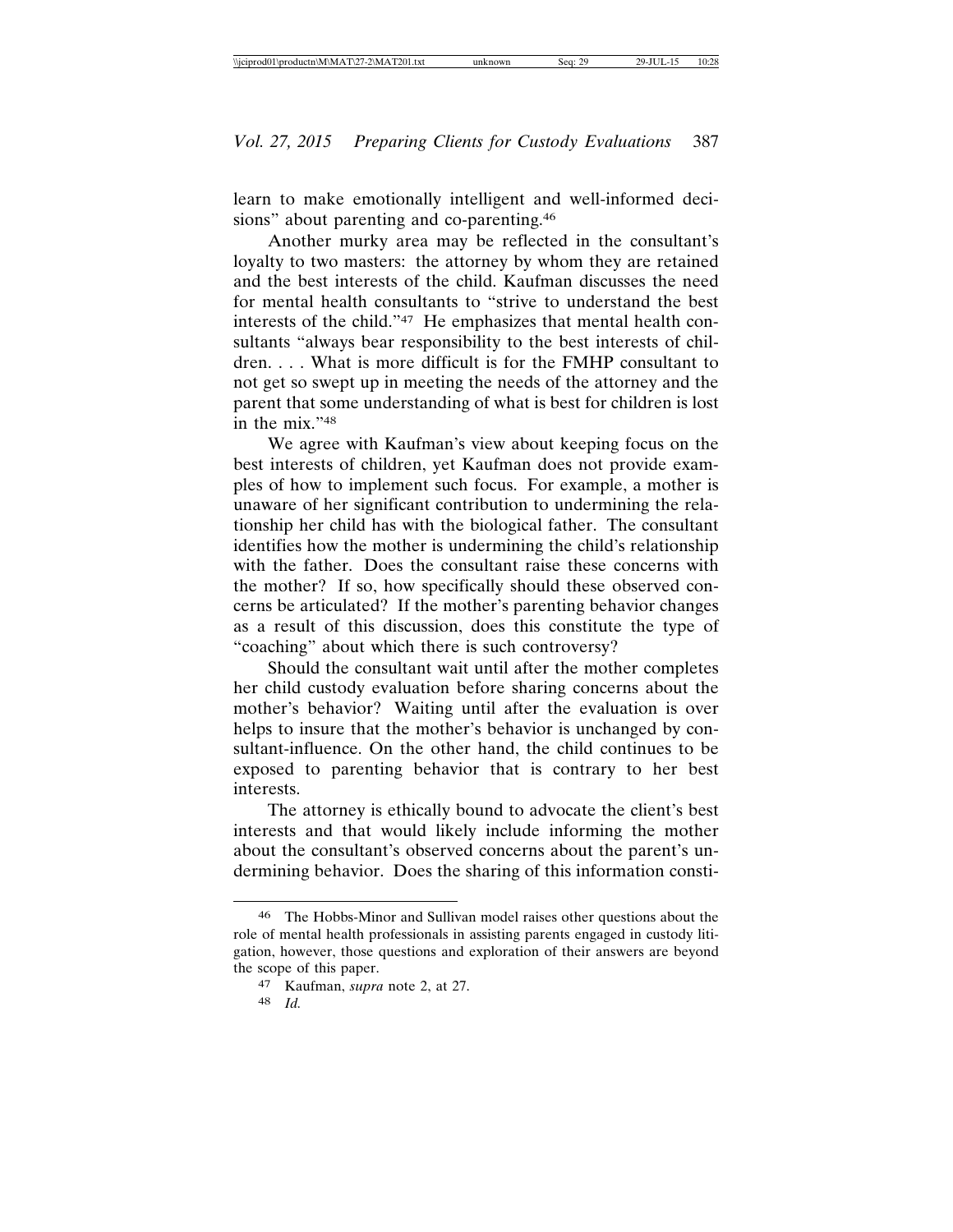learn to make emotionally intelligent and well-informed decisions" about parenting and co-parenting.<sup>46</sup>

Another murky area may be reflected in the consultant's loyalty to two masters: the attorney by whom they are retained and the best interests of the child. Kaufman discusses the need for mental health consultants to "strive to understand the best interests of the child."47 He emphasizes that mental health consultants "always bear responsibility to the best interests of children. . . . What is more difficult is for the FMHP consultant to not get so swept up in meeting the needs of the attorney and the parent that some understanding of what is best for children is lost in the mix."48

We agree with Kaufman's view about keeping focus on the best interests of children, yet Kaufman does not provide examples of how to implement such focus. For example, a mother is unaware of her significant contribution to undermining the relationship her child has with the biological father. The consultant identifies how the mother is undermining the child's relationship with the father. Does the consultant raise these concerns with the mother? If so, how specifically should these observed concerns be articulated? If the mother's parenting behavior changes as a result of this discussion, does this constitute the type of "coaching" about which there is such controversy?

Should the consultant wait until after the mother completes her child custody evaluation before sharing concerns about the mother's behavior? Waiting until after the evaluation is over helps to insure that the mother's behavior is unchanged by consultant-influence. On the other hand, the child continues to be exposed to parenting behavior that is contrary to her best interests.

The attorney is ethically bound to advocate the client's best interests and that would likely include informing the mother about the consultant's observed concerns about the parent's undermining behavior. Does the sharing of this information consti-

<sup>46</sup> The Hobbs-Minor and Sullivan model raises other questions about the role of mental health professionals in assisting parents engaged in custody litigation, however, those questions and exploration of their answers are beyond the scope of this paper.

<sup>47</sup> Kaufman, *supra* note 2, at 27.

<sup>48</sup> *Id.*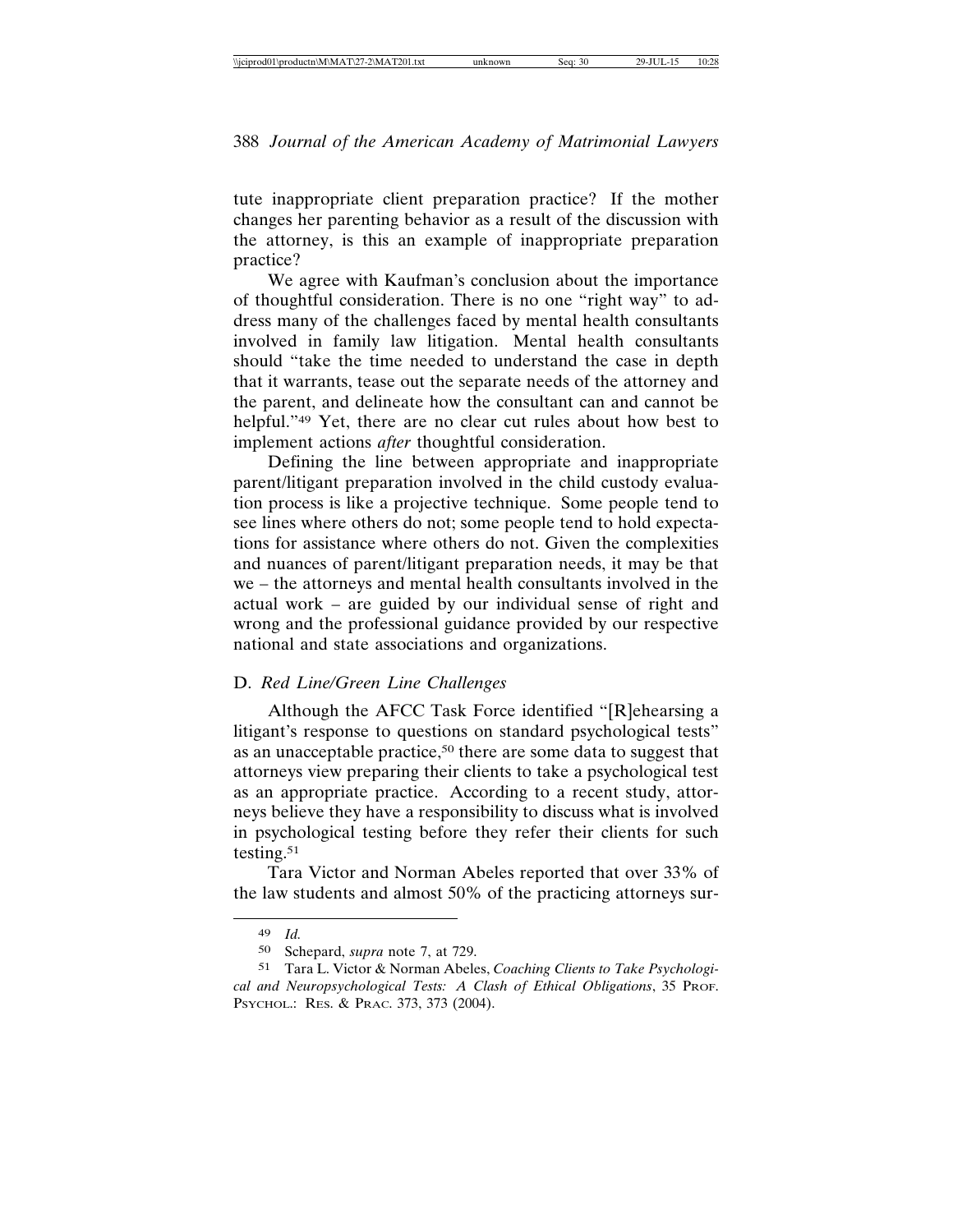tute inappropriate client preparation practice? If the mother changes her parenting behavior as a result of the discussion with the attorney, is this an example of inappropriate preparation practice?

We agree with Kaufman's conclusion about the importance of thoughtful consideration. There is no one "right way" to address many of the challenges faced by mental health consultants involved in family law litigation. Mental health consultants should "take the time needed to understand the case in depth that it warrants, tease out the separate needs of the attorney and the parent, and delineate how the consultant can and cannot be helpful."<sup>49</sup> Yet, there are no clear cut rules about how best to implement actions *after* thoughtful consideration.

Defining the line between appropriate and inappropriate parent/litigant preparation involved in the child custody evaluation process is like a projective technique. Some people tend to see lines where others do not; some people tend to hold expectations for assistance where others do not. Given the complexities and nuances of parent/litigant preparation needs, it may be that we – the attorneys and mental health consultants involved in the actual work – are guided by our individual sense of right and wrong and the professional guidance provided by our respective national and state associations and organizations.

#### D. *Red Line/Green Line Challenges*

Although the AFCC Task Force identified "[R]ehearsing a litigant's response to questions on standard psychological tests" as an unacceptable practice,50 there are some data to suggest that attorneys view preparing their clients to take a psychological test as an appropriate practice. According to a recent study, attorneys believe they have a responsibility to discuss what is involved in psychological testing before they refer their clients for such testing.51

Tara Victor and Norman Abeles reported that over 33% of the law students and almost 50% of the practicing attorneys sur-

<sup>49</sup> *Id.*

<sup>50</sup> Schepard, *supra* note 7, at 729.

<sup>51</sup> Tara L. Victor & Norman Abeles, *Coaching Clients to Take Psychological and Neuropsychological Tests: A Clash of Ethical Obligations*, 35 PROF. PSYCHOL.: RES. & PRAC. 373, 373 (2004).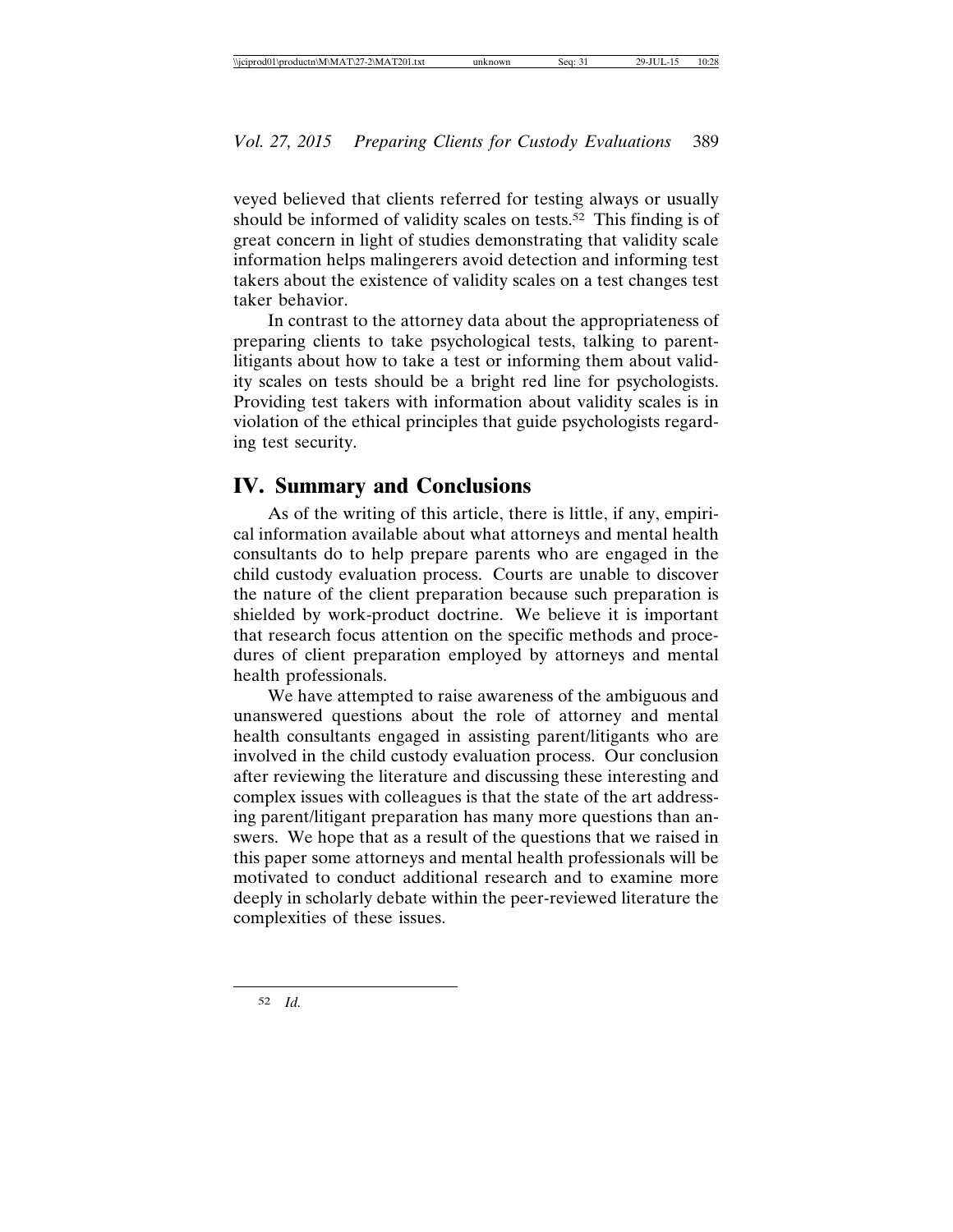veyed believed that clients referred for testing always or usually should be informed of validity scales on tests.<sup>52</sup> This finding is of great concern in light of studies demonstrating that validity scale information helps malingerers avoid detection and informing test takers about the existence of validity scales on a test changes test taker behavior.

In contrast to the attorney data about the appropriateness of preparing clients to take psychological tests, talking to parentlitigants about how to take a test or informing them about validity scales on tests should be a bright red line for psychologists. Providing test takers with information about validity scales is in violation of the ethical principles that guide psychologists regarding test security.

### **IV. Summary and Conclusions**

As of the writing of this article, there is little, if any, empirical information available about what attorneys and mental health consultants do to help prepare parents who are engaged in the child custody evaluation process. Courts are unable to discover the nature of the client preparation because such preparation is shielded by work-product doctrine. We believe it is important that research focus attention on the specific methods and procedures of client preparation employed by attorneys and mental health professionals.

We have attempted to raise awareness of the ambiguous and unanswered questions about the role of attorney and mental health consultants engaged in assisting parent/litigants who are involved in the child custody evaluation process. Our conclusion after reviewing the literature and discussing these interesting and complex issues with colleagues is that the state of the art addressing parent/litigant preparation has many more questions than answers. We hope that as a result of the questions that we raised in this paper some attorneys and mental health professionals will be motivated to conduct additional research and to examine more deeply in scholarly debate within the peer-reviewed literature the complexities of these issues.

52 *Id.*